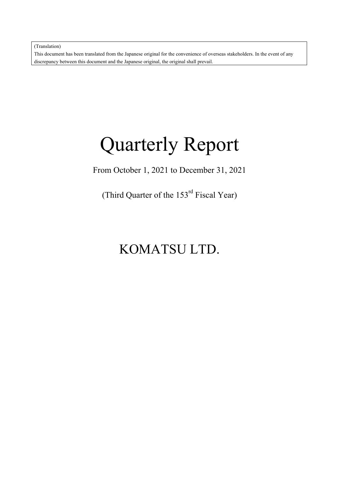(Translation)

This document has been translated from the Japanese original for the convenience of overseas stakeholders. In the event of any discrepancy between this document and the Japanese original, the original shall prevail.

# **Quarterly Report**

### From October 1, 2021 to December 31, 2021

(Third Quarter of the 153<sup>rd</sup> Fiscal Year)

### KOMATSU LTD.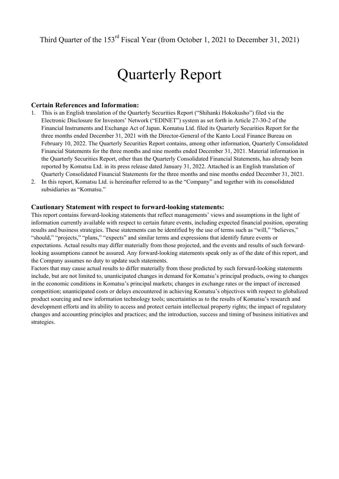## **Quarterly Report**

#### **Certain References and Information:**

- 1. This is an English translation of the Quarterly Securities Report ("Shihanki Hokokusho") filed via the Electronic Disclosure for Investors' Network ("EDINET") system as set forth in Article 27-30-2 of the Financial Instruments and Exchange Act of Japan. Komatsu Ltd. filed its Quarterly Securities Report for the three months ended December 31, 2021 with the Director-General of the Kanto Local Finance Bureau on February 10, 2022. The Quarterly Securities Report contains, among other information, Quarterly Consolidated Financial Statements for the three months and nine months ended December 31, 2021. Material information in the Quarterly Securities Report, other than the Quarterly Consolidated Financial Statements, has already been reported by Komatsu Ltd. in its press release dated January 31, 2022. Attached is an English translation of Ouarterly Consolidated Financial Statements for the three months and nine months ended December 31, 2021.
- 2. In this report, Komatsu Ltd. is hereinafter referred to as the "Company" and together with its consolidated subsidiaries as "Komatsu."

#### **Cautionary Statement with respect to forward-looking statements:**

This report contains forward-looking statements that reflect managements' views and assumptions in the light of information currently available with respect to certain future events, including expected financial position, operating results and business strategies. These statements can be identified by the use of terms such as "will," "believes," "should," "projects," "plans," "expects" and similar terms and expressions that identify future events or expectations. Actual results may differ materially from those projected, and the events and results of such forwardlooking assumptions cannot be assured. Any forward-looking statements speak only as of the date of this report, and the Company assumes no duty to update such statements.

Factors that may cause actual results to differ materially from those predicted by such forward-looking statements include, but are not limited to, unanticipated changes in demand for Komatsu's principal products, owing to changes in the economic conditions in Komatsu's principal markets; changes in exchange rates or the impact of increased competition; unanticipated costs or delays encountered in achieving Komatsu's objectives with respect to globalized product sourcing and new information technology tools; uncertainties as to the results of Komatsu's research and development efforts and its ability to access and protect certain intellectual property rights; the impact of regulatory changes and accounting principles and practices; and the introduction, success and timing of business initiatives and strategies.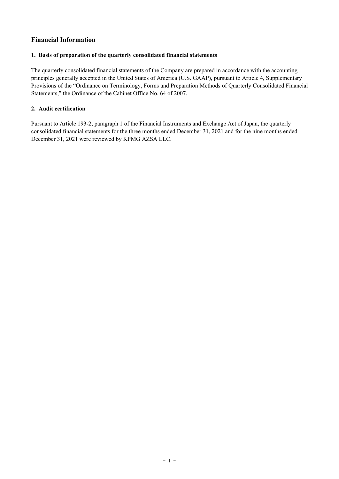#### **Financial Information**

#### **1. Basis of preparation of the quarterly consolidated financial statements**

The quarterly consolidated financial statements of the Company are prepared in accordance with the accounting principles generally accepted in the United States of America (U.S. GAAP), pursuant to Article 4, Supplementary Provisions of the "Ordinance on Terminology, Forms and Preparation Methods of Quarterly Consolidated Financial Statements," the Ordinance of the Cabinet Office No. 64 of 2007.

#### **2. Audit certification**

Pursuant to Article 193-2, paragraph 1 of the Financial Instruments and Exchange Act of Japan, the quarterly consolidated financial statements for the three months ended December 31, 2021 and for the nine months ended December 31, 2021 were reviewed by KPMG AZSA LLC.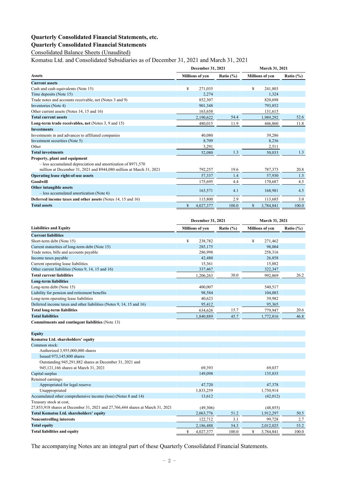#### **Quarterly Consolidated Financial Statements, etc.**

#### **Quarterly Consolidated Financial Statements**

Consolidated Balance Sheets (Unaudited)

Komatsu Ltd. and Consolidated Subsidiaries as of December 31, 2021 and March 31, 2021

|                                                                                                 | December 31, 2021      |               | March 31, 2021         |               |  |  |
|-------------------------------------------------------------------------------------------------|------------------------|---------------|------------------------|---------------|--|--|
| <b>Assets</b>                                                                                   | <b>Millions of yen</b> | Ratio $(\% )$ | <b>Millions of yen</b> | Ratio $(\% )$ |  |  |
| <b>Current assets</b>                                                                           |                        |               |                        |               |  |  |
| Cash and cash equivalents (Note 15)                                                             | ¥<br>271,035           |               | ¥<br>241,803           |               |  |  |
| Time deposits (Note 15)                                                                         | 2,274                  |               | 1,324                  |               |  |  |
| Trade notes and accounts receivable, net (Notes 3 and 9)                                        | 852,307                |               | 820,698                |               |  |  |
| Inventories (Note 4)                                                                            | 901,348                |               | 793,852                |               |  |  |
| Other current assets (Notes 14, 15 and 16)                                                      | 163,658                |               | 131,615                |               |  |  |
| <b>Total current assets</b>                                                                     | 2,190,622              | 54.4          | 1,989,292              | 52.6          |  |  |
| Long-term trade receivables, net (Notes 3, 9 and 15)                                            | 480,015                | 11.9          | 446,860                | 11.8          |  |  |
| <b>Investments</b>                                                                              |                        |               |                        |               |  |  |
| Investments in and advances to affiliated companies                                             | 40,080                 |               | 39,286                 |               |  |  |
| Investment securities (Note 5)                                                                  | 8,709                  |               | 8,236                  |               |  |  |
| Other                                                                                           | 3,291                  |               | 2,511                  |               |  |  |
| <b>Total investments</b>                                                                        | 52,080                 | 1.3           | 50,033                 | 1.3           |  |  |
| Property, plant and equipment<br>$-$ less accumulated depreciation and amortization of ¥971,570 |                        |               |                        |               |  |  |
| million at December 31, 2021 and ¥944,080 million at March 31, 2021                             | 792,257                | 19.6          | 787,373                | 20.8          |  |  |
| Operating lease right-of-use assets                                                             | 57,337                 | 1.4           | 57,930                 | 1.5           |  |  |
| Goodwill                                                                                        | 175,695                | 4.4           | 170,687                | 4.5           |  |  |
| Other intangible assets                                                                         |                        | 4.1           |                        | 4.5           |  |  |
| $-$ less accumulated amortization (Note 6)                                                      | 163,571                |               | 168,981                |               |  |  |
| Deferred income taxes and other assets (Notes 14, 15 and 16)                                    | 115,800                | 2.9           | 113,685                | 3.0           |  |  |
| <b>Total assets</b>                                                                             | ¥<br>4,027,377         | 100.0         | ¥<br>3,784,841         | 100.0         |  |  |

|                                                                      |   | December 31, 2021      |              | March 31, 2021         |           |               |  |  |
|----------------------------------------------------------------------|---|------------------------|--------------|------------------------|-----------|---------------|--|--|
| <b>Liabilities and Equity</b>                                        |   | <b>Millions of yen</b> | Ratio $(\%)$ | <b>Millions of yen</b> |           | Ratio $(\% )$ |  |  |
| <b>Current liabilities</b>                                           |   |                        |              |                        |           |               |  |  |
| Short-term debt (Note 15)                                            | ¥ | 238,782                |              | ¥                      | 271,462   |               |  |  |
| Current maturities of long-term debt (Note 15)                       |   | 285,175                |              |                        | 98,004    |               |  |  |
| Trade notes, bills and accounts payable                              |   | 286,998                |              |                        | 258,316   |               |  |  |
| Income taxes payable                                                 |   | 42,480                 |              |                        | 26,858    |               |  |  |
| Current operating lease liabilities                                  |   | 15,361                 |              |                        | 15,882    |               |  |  |
| Other current liabilities (Notes 9, 14, 15 and 16)                   |   | 337,467                |              |                        | 322,347   |               |  |  |
| <b>Total current liabilities</b>                                     |   | 1,206,263              | 30.0         |                        | 992,869   | 26.2          |  |  |
| Long-term liabilities                                                |   |                        |              |                        |           |               |  |  |
| Long-term debt (Note 15)                                             |   | 400,007                |              |                        | 540,517   |               |  |  |
| Liability for pension and retirement benefits                        |   | 98,584                 |              |                        | 104,083   |               |  |  |
| Long-term operating lease liabilities                                |   | 40,623                 |              |                        | 39,982    |               |  |  |
| Deferred income taxes and other liabilities (Notes 9, 14, 15 and 16) |   | 95,412                 |              |                        | 95,365    |               |  |  |
| Total long-term liabilities                                          |   | 634,626                | 15.7         |                        | 779,947   | 20.6          |  |  |
| <b>Total liabilities</b>                                             |   | 1,840,889              | 45.7         |                        | 1,772,816 | 46.8          |  |  |
| <b>Commitments and contingent liabilities</b> (Note 13)              |   |                        |              |                        |           |               |  |  |

#### **Equity Komatsu Ltd. shareholders' equity** Common stock: Authorized 3,955,000,000 shares Issued 973,145,800 shares Outstanding 945,291,882 shares at December 31, 2021 and 945,121,166 shares at March 31, 2021 69,037 69,393 69,037 Capital surplus 149,098 135,835 Retained earnings: Appropriated for legal reserve 47,720 47,378 Unappropriated 1,833,259 1,750,914 Accumulated other comprehensive income (loss) (Notes 8 and 14) 13,612 (42,012) Treasury stock at cost, 27,853,918 shares at December 31, 2021 and 27,766,444 shares at March 31, 2021 (49,306) (48,855)<br>
Total Komatsu Ltd. shareholders' equity (2,063,776 51.2 1,912,297 **Total Komatsu Ltd. shareholders' equity** 2,063,776 51.2 1,912,297 50.5 **Noncontrolling interests** 122,712 3.1 99,728 2.7 **Total equity** 2,186,488 54.3 2,012,025 53.2 **Total liabilities and equity ACCOVER 100.0 EXECUTE: EXECUTE: EXECUTE: EXECUTE: EXECUTE: EXECUTE: EXECUTE: EXECUTE: EXECUTE: EXECUTE: EXECUTE: EXECUTE: EXECUTE: EXECUTE: EXECUTE: EXECUTE:**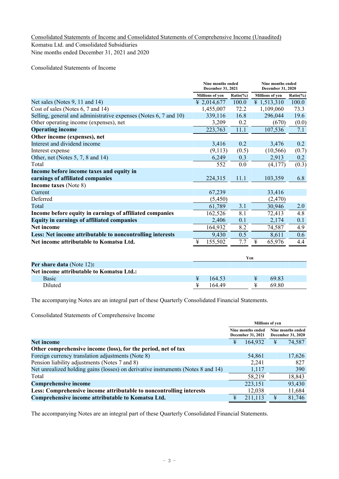Consolidated Statements of Income and Consolidated Statements of Comprehensive Income (Unaudited) Komatsu Ltd. and Consolidated Subsidiaries

Nine months ended December 31, 2021 and 2020

Consolidated Statements of Income

|                                                                  | Nine months ended<br>December 31, 2021 |              | Nine months ended<br>December 31, 2020 |           |
|------------------------------------------------------------------|----------------------------------------|--------------|----------------------------------------|-----------|
|                                                                  | <b>Millions</b> of yen                 | $Ratio(\% )$ | Millions of yen                        | Ratio( %) |
| Net sales (Notes 9, 11 and 14)                                   | ¥ 2,014,677                            | 100.0        | ¥ 1,513,310                            | 100.0     |
| Cost of sales (Notes 6, 7 and 14)                                | 1,455,007                              | 72.2         | 1,109,060                              | 73.3      |
| Selling, general and administrative expenses (Notes 6, 7 and 10) | 339,116                                | 16.8         | 296,044                                | 19.6      |
| Other operating income (expenses), net                           | 3,209                                  | 0.2          | (670)                                  | (0.0)     |
| <b>Operating income</b>                                          | 223,763                                | 11.1         | 107,536                                | 7.1       |
| Other income (expenses), net                                     |                                        |              |                                        |           |
| Interest and dividend income                                     | 3,416                                  | 0.2          | 3,476                                  | 0.2       |
| Interest expense                                                 | (9,113)                                | (0.5)        | (10, 566)                              | (0.7)     |
| Other, net (Notes 5, 7, 8 and 14)                                | 6,249                                  | 0.3          | 2,913                                  | 0.2       |
| Total                                                            | 552                                    | 0.0          | (4,177)                                | (0.3)     |
| Income before income taxes and equity in                         |                                        |              |                                        |           |
| earnings of affiliated companies                                 | 224,315                                | 11.1         | 103,359                                | 6.8       |
| <b>Income taxes</b> (Note 8)                                     |                                        |              |                                        |           |
| Current                                                          | 67,239                                 |              | 33,416                                 |           |
| Deferred                                                         | (5,450)                                |              | (2,470)                                |           |
| Total                                                            | 61,789                                 | 3.1          | 30,946                                 | 2.0       |
| Income before equity in earnings of affiliated companies         | 162,526                                | 8.1          | 72,413                                 | 4.8       |
| <b>Equity in earnings of affiliated companies</b>                | 2,406                                  | 0.1          | 2,174                                  | 0.1       |
| <b>Net income</b>                                                | 164,932                                | 8.2          | 74,587                                 | 4.9       |
| Less: Net income attributable to noncontrolling interests        | 9,430                                  | 0.5          | 8,611                                  | 0.6       |
| Net income attributable to Komatsu Ltd.                          | ¥<br>155,502                           | 7.7          | ¥<br>65,976                            | 4.4       |
|                                                                  |                                        | Yen          |                                        |           |
| Per share data (Note 12):                                        |                                        |              |                                        |           |
| Net income attributable to Komatsu Ltd.:                         |                                        |              |                                        |           |
| <b>Basic</b>                                                     | 164.53<br>¥                            |              | 69.83<br>¥                             |           |

The accompanying Notes are an integral part of these Quarterly Consolidated Financial Statements.

Diluted  $\frac{1}{4}$  164.49  $\frac{1}{4}$  69.80

Consolidated Statements of Comprehensive Income

|                                                                                  | <b>Millions of yen</b> |                                               |   |                                               |  |  |  |
|----------------------------------------------------------------------------------|------------------------|-----------------------------------------------|---|-----------------------------------------------|--|--|--|
|                                                                                  |                        | Nine months ended<br><b>December 31, 2021</b> |   | Nine months ended<br><b>December 31, 2020</b> |  |  |  |
| <b>Net income</b>                                                                | ¥                      | 164,932                                       | ¥ | 74,587                                        |  |  |  |
| Other comprehensive income (loss), for the period, net of tax                    |                        |                                               |   |                                               |  |  |  |
| Foreign currency translation adjustments (Note 8)                                |                        | 54,861                                        |   | 17,626                                        |  |  |  |
| Pension liability adjustments (Notes 7 and 8)                                    |                        | 2,241                                         |   | 827                                           |  |  |  |
| Net unrealized holding gains (losses) on derivative instruments (Notes 8 and 14) |                        | 1,117                                         |   | 390                                           |  |  |  |
| Total                                                                            |                        | 58,219                                        |   | 18,843                                        |  |  |  |
| <b>Comprehensive income</b>                                                      |                        | 223,151                                       |   | 93,430                                        |  |  |  |
| Less: Comprehensive income attributable to noncontrolling interests              |                        | 12,038                                        |   | 11,684                                        |  |  |  |
| Comprehensive income attributable to Komatsu Ltd.                                |                        | 211.113                                       | ¥ | 81,746                                        |  |  |  |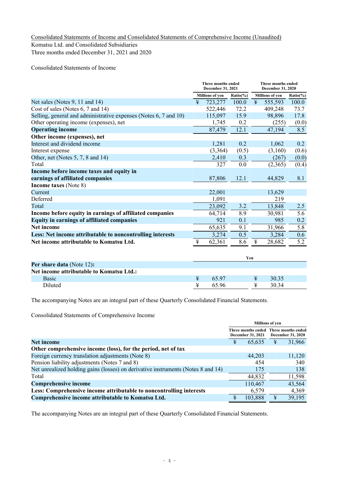Consolidated Statements of Income and Consolidated Statements of Comprehensive Income (Unaudited) Komatsu Ltd. and Consolidated Subsidiaries

Three months ended December 31, 2021 and 2020

Consolidated Statements of Income

|                                                                  |   | Three months ended<br><b>December 31, 2021</b> |              |     | Three months ended<br>December 31, 2020 |              |
|------------------------------------------------------------------|---|------------------------------------------------|--------------|-----|-----------------------------------------|--------------|
|                                                                  |   | <b>Millions of yen</b>                         | $Ratio(\% )$ |     | Millions of yen                         | $Ratio(\% )$ |
| Net sales (Notes 9, 11 and 14)                                   | ¥ | 723,277                                        | 100.0        | ¥   | 555,593                                 | 100.0        |
| Cost of sales (Notes 6, 7 and 14)                                |   | 522,446                                        | 72.2         |     | 409,248                                 | 73.7         |
| Selling, general and administrative expenses (Notes 6, 7 and 10) |   | 115,097                                        | 15.9         |     | 98,896                                  | 17.8         |
| Other operating income (expenses), net                           |   | 1,745                                          | 0.2          |     | (255)                                   | (0.0)        |
| <b>Operating income</b>                                          |   | 87,479                                         | 12.1         |     | 47,194                                  | 8.5          |
| Other income (expenses), net                                     |   |                                                |              |     |                                         |              |
| Interest and dividend income                                     |   | 1,281                                          | 0.2          |     | 1,062                                   | 0.2          |
| Interest expense                                                 |   | (3,364)                                        | (0.5)        |     | (3,160)                                 | (0.6)        |
| Other, net (Notes 5, 7, 8 and 14)                                |   | 2,410                                          | 0.3          |     | (267)                                   | (0.0)        |
| Total                                                            |   | 327                                            | 0.0          |     | (2,365)                                 | (0.4)        |
| Income before income taxes and equity in                         |   |                                                |              |     |                                         |              |
| earnings of affiliated companies                                 |   | 87,806                                         | 12.1         |     | 44,829                                  | 8.1          |
| <b>Income taxes</b> (Note 8)                                     |   |                                                |              |     |                                         |              |
| Current                                                          |   | 22,001                                         |              |     | 13,629                                  |              |
| Deferred                                                         |   | 1,091                                          |              |     | 219                                     |              |
| Total                                                            |   | 23,092                                         | 3.2          |     | 13,848                                  | 2.5          |
| Income before equity in earnings of affiliated companies         |   | 64,714                                         | 8.9          |     | 30,981                                  | 5.6          |
| <b>Equity in earnings of affiliated companies</b>                |   | 921                                            | 0.1          |     | 985                                     | 0.2          |
| <b>Net income</b>                                                |   | 65,635                                         | 9.1          |     | 31,966                                  | 5.8          |
| Less: Net income attributable to noncontrolling interests        |   | 3,274                                          | 0.5          |     | 3,284                                   | 0.6          |
| Net income attributable to Komatsu Ltd.                          | ¥ | 62,361                                         | 8.6          | ¥   | 28,682                                  | 5.2          |
|                                                                  |   |                                                |              | Yen |                                         |              |
| Per share data (Note 12):                                        |   |                                                |              |     |                                         |              |
| Net income attributable to Komatsu Ltd.:                         |   |                                                |              |     |                                         |              |
| <b>Basic</b>                                                     | ¥ | 65.97                                          |              | ¥   | 30.35                                   |              |
| Diluted                                                          | ¥ | 65.96                                          |              | ¥   | 30.34                                   |              |

The accompanying Notes are an integral part of these Quarterly Consolidated Financial Statements.

Consolidated Statements of Comprehensive Income

|                                                                                  |   | Three months ended<br>December 31, 2021 | Three months ended<br>December 31, 2020 |        |  |
|----------------------------------------------------------------------------------|---|-----------------------------------------|-----------------------------------------|--------|--|
| <b>Net income</b>                                                                | ¥ | 65,635                                  | ¥                                       | 31,966 |  |
| Other comprehensive income (loss), for the period, net of tax                    |   |                                         |                                         |        |  |
| Foreign currency translation adjustments (Note 8)                                |   | 44,203                                  |                                         | 11,120 |  |
| Pension liability adjustments (Notes 7 and 8)                                    |   | 454                                     |                                         | 340    |  |
| Net unrealized holding gains (losses) on derivative instruments (Notes 8 and 14) |   | 175                                     |                                         | 138    |  |
| Total                                                                            |   | 44,832                                  |                                         | 11,598 |  |
| <b>Comprehensive income</b>                                                      |   | 110,467                                 |                                         | 43,564 |  |
| Less: Comprehensive income attributable to noncontrolling interests              |   | 6,579                                   |                                         | 4,369  |  |
| Comprehensive income attributable to Komatsu Ltd.                                | ¥ | 103,888                                 | ¥                                       | 39,195 |  |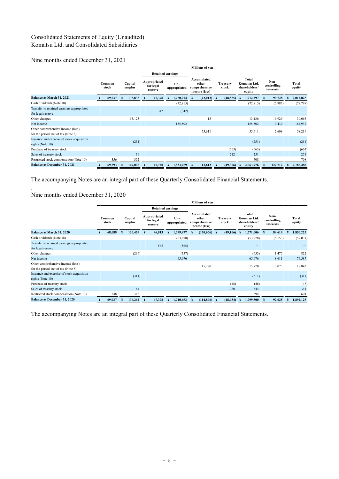#### Consolidated Statements of Equity (Unaudited) Komatsu Ltd. and Consolidated Subsidiaries

#### Nine months ended December 31, 2021

|                                                                           |   |                 |                    |   |                                      |                     |   | <b>Millions of yen</b>                                 |                          |                                                  |   |                                  |                 |
|---------------------------------------------------------------------------|---|-----------------|--------------------|---|--------------------------------------|---------------------|---|--------------------------------------------------------|--------------------------|--------------------------------------------------|---|----------------------------------|-----------------|
|                                                                           |   |                 |                    |   | <b>Retained earnings</b>             |                     |   |                                                        |                          |                                                  |   |                                  |                 |
|                                                                           |   | Common<br>stock | Capital<br>surplus |   | Appropriated<br>for legal<br>reserve | Un-<br>appropriated |   | Accumulated<br>other<br>comprehensive<br>income (loss) | <b>Treasury</b><br>stock | Total<br>Komatsu Ltd.<br>shareholders'<br>equity |   | Non-<br>controlling<br>interests | Total<br>equity |
| Balance at March 31, 2021                                                 | ¥ | 69,037          | 135,835            | ¥ | 47,378                               | 1,750,914           | ¥ | $(42,012)$ ¥                                           | (48, 855)                | 1,912,297                                        | ¥ | 99,728                           | 2,012,025       |
| Cash dividends (Note 18)                                                  |   |                 |                    |   |                                      | (72, 815)           |   |                                                        |                          | (72, 815)                                        |   | (5,983)                          | (78, 798)       |
| Transfer to retained earnings appropriated                                |   |                 |                    |   | 342                                  |                     |   |                                                        |                          |                                                  |   |                                  |                 |
| for legal reserve                                                         |   |                 |                    |   |                                      | (342)               |   |                                                        |                          |                                                  |   |                                  |                 |
| Other changes                                                             |   |                 | 13,123             |   |                                      |                     |   | 13                                                     |                          | 13,136                                           |   | 16,929                           | 30,065          |
| Net income                                                                |   |                 |                    |   |                                      | 155,502             |   |                                                        |                          | 155,502                                          |   | 9,430                            | 164,932         |
| Other comprehensive income (loss),<br>for the period, net of tax (Note 8) |   |                 |                    |   |                                      |                     |   | 55,611                                                 |                          | 55,611                                           |   | 2,608                            | 58,219          |
| Issuance and exercise of stock acquisition<br>rights (Note 10)            |   |                 | (251)              |   |                                      |                     |   |                                                        |                          | (251)                                            |   |                                  | (251)           |
| Purchase of treasury stock                                                |   |                 |                    |   |                                      |                     |   |                                                        | (663)                    | (663)                                            |   |                                  | (663)           |
| Sales of treasury stock                                                   |   |                 | 39                 |   |                                      |                     |   |                                                        | 212                      | 251                                              |   |                                  | 251             |
| Restricted stock compensation (Note 10)                                   |   | 356             | 352                |   |                                      |                     |   |                                                        |                          | 708                                              |   |                                  | 708             |
| <b>Balance at December 31, 2021</b>                                       |   | 69,393          | 149,098            |   | 47,720                               | 1,833,259           |   | 13,612                                                 | (49,306)                 | 2,063,776                                        |   | 122,712                          | 2,186,488       |

The accompanying Notes are an integral part of these Quarterly Consolidated Financial Statements.

. Nine months ended December 31, 2020

|                                                                           |   |                 |   |                    |   |                                      |   |                     |                 | <b>Millions of yen</b>                                 |                   |   |                                                         |   |                                  |   |                        |
|---------------------------------------------------------------------------|---|-----------------|---|--------------------|---|--------------------------------------|---|---------------------|-----------------|--------------------------------------------------------|-------------------|---|---------------------------------------------------------|---|----------------------------------|---|------------------------|
|                                                                           |   |                 |   |                    |   | <b>Retained earnings</b>             |   |                     |                 |                                                        |                   |   |                                                         |   |                                  |   |                        |
|                                                                           |   | Common<br>stock |   | Capital<br>surplus |   | Appropriated<br>for legal<br>reserve |   | Un-<br>appropriated |                 | Accumulated<br>other<br>comprehensive<br>income (loss) | Treasury<br>stock |   | <b>Total</b><br>Komatsu Ltd.<br>shareholders'<br>equity |   | Non-<br>controlling<br>interests |   | <b>Total</b><br>equity |
| Balance at March 31, 2020                                                 |   | 68,689          | ¥ | 136,459            | ¥ | 46,813                               | ¥ | 1,699,477           | $\ddot{\ast}$   | $(130,666)$ ¥                                          | (49, 166)         | ¥ | 1,771,606                                               | ¥ | 84,619                           | ¥ | 1,856,225              |
| Cash dividends (Note 18)                                                  |   |                 |   |                    |   |                                      |   | (53, 878)           |                 |                                                        |                   |   | (53,878)                                                |   | (5,153)                          |   | (59, 031)              |
| Transfer to retained earnings appropriated                                |   |                 |   |                    |   | 565                                  |   |                     |                 |                                                        |                   |   |                                                         |   |                                  |   |                        |
| for legal reserve                                                         |   |                 |   |                    |   |                                      |   | (565)               |                 |                                                        |                   |   |                                                         |   |                                  |   |                        |
| Other changes                                                             |   |                 |   | (296)              |   |                                      |   | (357)               |                 |                                                        |                   |   | (653)                                                   |   | 1,475                            |   | 822                    |
| Net income                                                                |   |                 |   |                    |   |                                      |   | 65,976              |                 |                                                        |                   |   | 65,976                                                  |   | 8,611                            |   | 74,587                 |
| Other comprehensive income (loss),<br>for the period, net of tax (Note 8) |   |                 |   |                    |   |                                      |   |                     |                 | 15,770                                                 |                   |   | 15,770                                                  |   | 3,073                            |   | 18,843                 |
| Issuance and exercise of stock acquisition                                |   |                 |   |                    |   |                                      |   |                     |                 |                                                        |                   |   |                                                         |   |                                  |   |                        |
| rights (Note 10)                                                          |   |                 |   | (311)              |   |                                      |   |                     |                 |                                                        |                   |   | (311)                                                   |   |                                  |   | (311)                  |
| Purchase of treasury stock                                                |   |                 |   |                    |   |                                      |   |                     |                 |                                                        | (48)              |   | (48)                                                    |   |                                  |   | (48)                   |
| Sales of treasury stock                                                   |   |                 |   | 64                 |   |                                      |   |                     |                 |                                                        | 280               |   | 344                                                     |   |                                  |   | 344                    |
| Restricted stock compensation (Note 10)                                   |   | 348             |   | 346                |   |                                      |   |                     |                 |                                                        |                   |   | 694                                                     |   |                                  |   | 694                    |
| <b>Balance at December 31, 2020</b>                                       | ¥ | 69,037          |   | 136,262            | ¥ | 47,378                               | ¥ | 1,710,653           | $\mathbf{\Psi}$ | $(114,896)$ ¥                                          | (48, 934)         | ¥ | 1,799,500                                               | ¥ | 92,625                           | ¥ | 1,892,125              |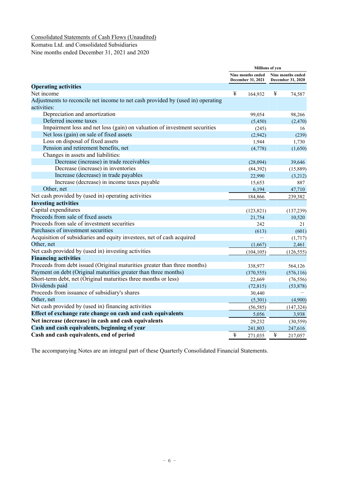#### Consolidated Statements of Cash Flows (Unaudited) Komatsu Ltd. and Consolidated Subsidiaries

Nine months ended December 31, 2021 and 2020

|                                                                                 | <b>Millions of yen</b> |                                        |   |                                        |
|---------------------------------------------------------------------------------|------------------------|----------------------------------------|---|----------------------------------------|
|                                                                                 |                        | Nine months ended<br>December 31, 2021 |   | Nine months ended<br>December 31, 2020 |
| <b>Operating activities</b>                                                     |                        |                                        |   |                                        |
| Net income                                                                      | ¥                      | 164,932                                | ¥ | 74,587                                 |
| Adjustments to reconcile net income to net cash provided by (used in) operating |                        |                                        |   |                                        |
| activities:                                                                     |                        |                                        |   |                                        |
| Depreciation and amortization                                                   |                        | 99,054                                 |   | 98,266                                 |
| Deferred income taxes                                                           |                        | (5,450)                                |   | (2,470)                                |
| Impairment loss and net loss (gain) on valuation of investment securities       |                        | (245)                                  |   | 16                                     |
| Net loss (gain) on sale of fixed assets                                         |                        | (2,942)                                |   | (239)                                  |
| Loss on disposal of fixed assets                                                |                        | 1,944                                  |   | 1,730                                  |
| Pension and retirement benefits, net                                            |                        | (4,778)                                |   | (1,650)                                |
| Changes in assets and liabilities:                                              |                        |                                        |   |                                        |
| Decrease (increase) in trade receivables                                        |                        | (28,094)                               |   | 39,646                                 |
| Decrease (increase) in inventories                                              |                        | (84,392)                               |   | (15,889)                               |
| Increase (decrease) in trade payables                                           |                        | 22,990                                 |   | (3,212)                                |
| Increase (decrease) in income taxes payable                                     |                        | 15,653                                 |   | 887                                    |
| Other, net                                                                      |                        | 6,194                                  |   | 47,710                                 |
| Net cash provided by (used in) operating activities                             |                        | 184,866                                |   | 239,382                                |
| <b>Investing activities</b>                                                     |                        |                                        |   |                                        |
| Capital expenditures                                                            |                        | (123, 821)                             |   | (137, 239)                             |
| Proceeds from sale of fixed assets                                              |                        | 21,754                                 |   | 10,520                                 |
| Proceeds from sale of investment securities                                     |                        | 242                                    |   | 21                                     |
| Purchases of investment securities                                              |                        | (613)                                  |   | (601)                                  |
| Acquisition of subsidiaries and equity investees, net of cash acquired          |                        |                                        |   | (1,717)                                |
| Other, net                                                                      |                        | (1,667)                                |   | 2,461                                  |
| Net cash provided by (used in) investing activities                             |                        | (104, 105)                             |   | (126, 555)                             |
| <b>Financing activities</b>                                                     |                        |                                        |   |                                        |
| Proceeds from debt issued (Original maturities greater than three months)       |                        | 338,977                                |   | 564,126                                |
| Payment on debt (Original maturities greater than three months)                 |                        | (370, 555)                             |   | (576, 116)                             |
| Short-term debt, net (Original maturities three months or less)                 |                        | 22,669                                 |   | (76, 556)                              |
| Dividends paid                                                                  |                        | (72, 815)                              |   | (53, 878)                              |
| Proceeds from issuance of subsidiary's shares                                   |                        | 30,440                                 |   |                                        |
| Other, net                                                                      |                        | (5,301)                                |   | (4,900)                                |
| Net cash provided by (used in) financing activities                             |                        | (56, 585)                              |   | (147, 324)                             |
| Effect of exchange rate change on cash and cash equivalents                     |                        | 5,056                                  |   | 3,938                                  |
| Net increase (decrease) in cash and cash equivalents                            |                        | 29,232                                 |   | (30, 559)                              |
| Cash and cash equivalents, beginning of year                                    |                        | 241,803                                |   | 247,616                                |
| Cash and cash equivalents, end of period                                        | ¥                      | 271,035                                | ¥ | 217,057                                |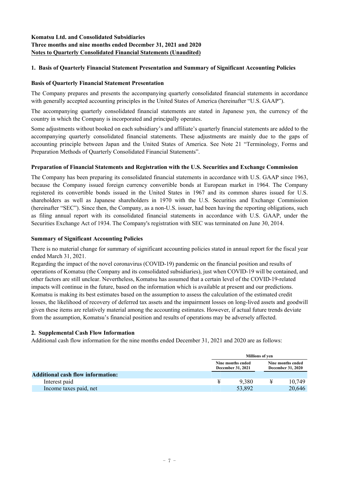#### **Komatsu Ltd. and Consolidated Subsidiaries Three months and nine months ended December 31, 2021 and 2020 Notes to Quarterly Consolidated Financial Statements (Unaudited)**

#### **1. Basis of Quarterly Financial Statement Presentation and Summary of Significant Accounting Policies**

#### **Basis of Quarterly Financial Statement Presentation**

The Company prepares and presents the accompanying quarterly consolidated financial statements in accordance with generally accepted accounting principles in the United States of America (hereinafter "U.S. GAAP").

The accompanying quarterly consolidated financial statements are stated in Japanese yen, the currency of the country in which the Company is incorporated and principally operates.

Some adjustments without booked on each subsidiary's and affiliate's quarterly financial statements are added to the accompanying quarterly consolidated financial statements. These adjustments are mainly due to the gaps of accounting principle between Japan and the United States of America. See Note 21 "Terminology, Forms and Preparation Methods of Quarterly Consolidated Financial Statements".

#### **Preparation of Financial Statements and Registration with the U.S. Securities and Exchange Commission**

The Company has been preparing its consolidated financial statements in accordance with U.S. GAAP since 1963, because the Company issued foreign currency convertible bonds at European market in 1964. The Company registered its convertible bonds issued in the United States in 1967 and its common shares issued for U.S. shareholders as well as Japanese shareholders in 1970 with the U.S. Securities and Exchange Commission (hereinafter "SEC"). Since then, the Company, as a non-U.S. issuer, had been having the reporting obligations, such as filing annual report with its consolidated financial statements in accordance with U.S. GAAP, under the Securities Exchange Act of 1934. The Company's registration with SEC was terminated on June 30, 2014.

#### **Summary of Significant Accounting Policies**

There is no material change for summary of significant accounting policies stated in annual report for the fiscal year ended March 31, 2021.

Regarding the impact of the novel coronavirus (COVID-19) pandemic on the financial position and results of operations of Komatsu (the Company and its consolidated subsidiaries), just when COVID-19 will be contained, and other factors are still unclear. Nevertheless, Komatsu has assumed that a certain level of the COVID-19-related impacts will continue in the future, based on the information which is available at present and our predictions. Komatsu is making its best estimates based on the assumption to assess the calculation of the estimated credit losses, the likelihood of recovery of deferred tax assets and the impairment losses on long-lived assets and goodwill given these items are relatively material among the accounting estimates. However, if actual future trends deviate from the assumption, Komatsu's financial position and results of operations may be adversely affected.

#### **2. Supplemental Cash Flow Information**

Additional cash flow information for the nine months ended December 31, 2021 and 2020 are as follows:

|                                          |   | Millions of ven                               |   |                                        |  |  |
|------------------------------------------|---|-----------------------------------------------|---|----------------------------------------|--|--|
|                                          |   | Nine months ended<br><b>December 31, 2021</b> |   | Nine months ended<br>December 31, 2020 |  |  |
| <b>Additional cash flow information:</b> |   |                                               |   |                                        |  |  |
| Interest paid                            | ¥ | 9.380                                         | ¥ | 10,749                                 |  |  |
| Income taxes paid, net                   |   | 53,892                                        |   | 20,646                                 |  |  |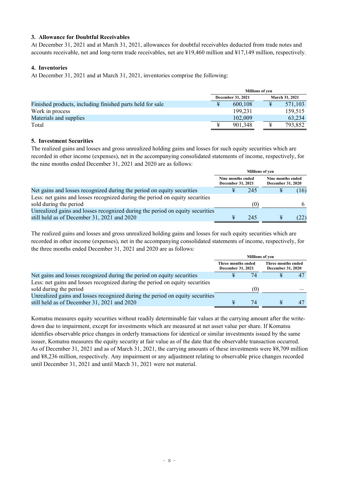#### **3. Allowance for Doubtful Receivables**

At December 31, 2021 and at March 31, 2021, allowances for doubtful receivables deducted from trade notes and accounts receivable, net and long-term trade receivables, net are ¥19,460 million and ¥17,149 million, respectively.

#### **4. Inventories**

At December 31, 2021 and at March 31, 2021, inventories comprise the following:

|                                                           |   | <b>Millions of ven</b> |  |                |  |  |  |
|-----------------------------------------------------------|---|------------------------|--|----------------|--|--|--|
|                                                           |   | December 31, 2021      |  | March 31, 2021 |  |  |  |
| Finished products, including finished parts held for sale |   | 600,108                |  | 571,103        |  |  |  |
| Work in process                                           |   | 199.231                |  | 159,515        |  |  |  |
| Materials and supplies                                    |   | 102,009                |  | 63.234         |  |  |  |
| Total                                                     | ¥ | 901.348                |  | 793,852        |  |  |  |

#### **5. Investment Securities**

The realized gains and losses and gross unrealized holding gains and losses for such equity securities which are recorded in other income (expenses), net in the accompanying consolidated statements of income, respectively, for the nine months ended December 31, 2021 and 2020 are as follows:

|                                                                               | <b>Millions of yen</b>                 |     |                                        |      |  |  |  |  |
|-------------------------------------------------------------------------------|----------------------------------------|-----|----------------------------------------|------|--|--|--|--|
|                                                                               | Nine months ended<br>December 31, 2021 |     | Nine months ended<br>December 31, 2020 |      |  |  |  |  |
| Net gains and losses recognized during the period on equity securities        |                                        | 245 |                                        | (16) |  |  |  |  |
| Less: net gains and losses recognized during the period on equity securities  |                                        |     |                                        |      |  |  |  |  |
| sold during the period                                                        |                                        |     |                                        | 6    |  |  |  |  |
| Unrealized gains and losses recognized during the period on equity securities |                                        |     |                                        |      |  |  |  |  |
| still held as of December 31, 2021 and 2020                                   |                                        | 245 |                                        | (22) |  |  |  |  |

The realized gains and losses and gross unrealized holding gains and losses for such equity securities which are recorded in other income (expenses), net in the accompanying consolidated statements of income, respectively, for the three months ended December 31, 2021 and 2020 are as follows:

|                                                                               | <b>Millions of yen</b>                  |     |                                         |  |
|-------------------------------------------------------------------------------|-----------------------------------------|-----|-----------------------------------------|--|
|                                                                               | Three months ended<br>December 31, 2021 |     | Three months ended<br>December 31, 2020 |  |
| Net gains and losses recognized during the period on equity securities        |                                         | 74  |                                         |  |
| Less: net gains and losses recognized during the period on equity securities  |                                         |     |                                         |  |
| sold during the period                                                        |                                         | (O) |                                         |  |
| Unrealized gains and losses recognized during the period on equity securities |                                         |     |                                         |  |
| still held as of December 31, 2021 and 2020                                   |                                         | 74  |                                         |  |

Komatsu measures equity securities without readily determinable fair values at the carrying amount after the writedown due to impairment, except for investments which are measured at net asset value per share. If Komatsu identifies observable price changes in orderly transactions for identical or similar investments issued by the same issuer, Komatsu measures the equity security at fair value as of the date that the observable transaction occurred. As of December 31, 2021 and as of March 31, 2021, the carrying amounts of these investments were ¥8,709 million and ¥8,236 million, respectively. Any impairment or any adjustment relating to observable price changes recorded until December 31, 2021 and until March 31, 2021 were not material.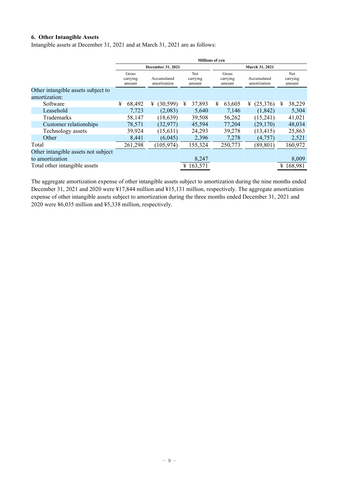#### **6. Other Intangible Assets**

Intangible assets at December 31, 2021 and at March 31, 2021 are as follows:

|                                     | <b>Millions of ven</b>      |                             |                           |                             |                             |                           |
|-------------------------------------|-----------------------------|-----------------------------|---------------------------|-----------------------------|-----------------------------|---------------------------|
|                                     |                             | December 31, 2021           |                           |                             | March 31, 2021              |                           |
|                                     | Gross<br>carrying<br>amount | Accumulated<br>amortization | Net<br>carrying<br>amount | Gross<br>carrying<br>amount | Accumulated<br>amortization | Net<br>carrying<br>amount |
| Other intangible assets subject to  |                             |                             |                           |                             |                             |                           |
| amortization:                       |                             |                             |                           |                             |                             |                           |
| Software                            | ¥<br>68,492                 | (30, 599)<br>¥              | 37,893<br>¥               | ¥<br>63,605                 | (25,376)<br>¥               | ¥<br>38,229               |
| Leasehold                           | 7,723                       | (2,083)                     | 5,640                     | 7,146                       | (1, 842)                    | 5,304                     |
| Trademarks                          | 58,147                      | (18, 639)                   | 39,508                    | 56,262                      | (15,241)                    | 41,021                    |
| Customer relationships              | 78,571                      | (32, 977)                   | 45,594                    | 77,204                      | (29,170)                    | 48,034                    |
| Technology assets                   | 39,924                      | (15,631)                    | 24,293                    | 39,278                      | (13, 415)                   | 25,863                    |
| Other                               | 8,441                       | (6,045)                     | 2,396                     | 7,278                       | (4,757)                     | 2,521                     |
| Total                               | 261,298                     | (105, 974)                  | 155,324                   | 250,773                     | (89, 801)                   | 160,972                   |
| Other intangible assets not subject |                             |                             |                           |                             |                             |                           |
| to amortization                     |                             |                             | 8,247                     |                             |                             | 8,009                     |
| Total other intangible assets       |                             |                             | ¥ 163,571                 |                             |                             | ¥ 168,981                 |

The aggregate amortization expense of other intangible assets subject to amortization during the nine months ended December 31, 2021 and 2020 were ¥17,844 million and ¥15,131 million, respectively. The aggregate amortization expense of other intangible assets subject to amortization during the three months ended December 31, 2021 and 2020 were ¥6,035 million and ¥5,338 million, respectively.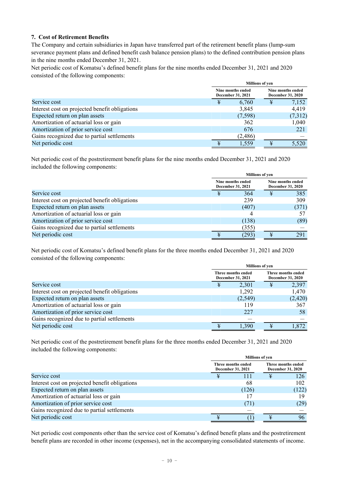#### **7. Cost of Retirement Benefits**

The Company and certain subsidiaries in Japan have transferred part of the retirement benefit plans (lump-sum severance payment plans and defined benefit cash balance pension plans) to the defined contribution pension plans in the nine months ended December 31, 2021.

Net periodic cost of Komatsu's defined benefit plans for the nine months ended December 31, 2021 and 2020 consisted of the following components:

|                                                | <b>Millions of ven</b> |                                        |   |                                        |
|------------------------------------------------|------------------------|----------------------------------------|---|----------------------------------------|
|                                                |                        | Nine months ended<br>December 31, 2021 |   | Nine months ended<br>December 31, 2020 |
| Service cost                                   | ¥                      | 6,760                                  | ¥ | 7,152                                  |
| Interest cost on projected benefit obligations |                        | 3,845                                  |   | 4,419                                  |
| Expected return on plan assets                 |                        | (7,598)                                |   | (7,312)                                |
| Amortization of actuarial loss or gain         |                        | 362                                    |   | 1,040                                  |
| Amortization of prior service cost             |                        | 676                                    |   | 221                                    |
| Gains recognized due to partial settlements    |                        | (2, 486)                               |   |                                        |
| Net periodic cost                              | ¥                      | 1,559                                  |   | 5,520                                  |

Net periodic cost of the postretirement benefit plans for the nine months ended December 31, 2021 and 2020 included the following components:

|                                                | <b>Millions of yen</b>                 |       |  |                                        |
|------------------------------------------------|----------------------------------------|-------|--|----------------------------------------|
|                                                | Nine months ended<br>December 31, 2021 |       |  | Nine months ended<br>December 31, 2020 |
| Service cost                                   |                                        | 364   |  | 385                                    |
| Interest cost on projected benefit obligations |                                        | 239   |  | 309                                    |
| Expected return on plan assets                 |                                        | (407) |  | (371)                                  |
| Amortization of actuarial loss or gain         |                                        |       |  |                                        |
| Amortization of prior service cost             |                                        | (138) |  | (89)                                   |
| Gains recognized due to partial settlements    |                                        | (355) |  |                                        |
| Net periodic cost                              |                                        | (293) |  | 291                                    |

Net periodic cost of Komatsu's defined benefit plans for the three months ended December 31, 2021 and 2020 consisted of the following components:

|                                                |                                         | <b>Millions of ven</b> |   |                                         |  |
|------------------------------------------------|-----------------------------------------|------------------------|---|-----------------------------------------|--|
|                                                | Three months ended<br>December 31, 2021 |                        |   | Three months ended<br>December 31, 2020 |  |
| Service cost                                   | ¥                                       | 2,301                  | ¥ | 2,397                                   |  |
| Interest cost on projected benefit obligations |                                         | 1,292                  |   | 1,470                                   |  |
| Expected return on plan assets                 |                                         | (2,549)                |   | (2, 420)                                |  |
| Amortization of actuarial loss or gain         |                                         | 119                    |   | 367                                     |  |
| Amortization of prior service cost             |                                         | 227                    |   | 58                                      |  |
| Gains recognized due to partial settlements    |                                         |                        |   |                                         |  |
| Net periodic cost                              |                                         | 1.390                  |   | 1,872                                   |  |

Net periodic cost of the postretirement benefit plans for the three months ended December 31, 2021 and 2020 included the following components:

|                                                |   | <b>Millions of yen</b>                  |  |                                                |  |
|------------------------------------------------|---|-----------------------------------------|--|------------------------------------------------|--|
|                                                |   | Three months ended<br>December 31, 2021 |  | Three months ended<br><b>December 31, 2020</b> |  |
| Service cost                                   | ¥ | 111                                     |  | 126                                            |  |
| Interest cost on projected benefit obligations |   | 68                                      |  | 102                                            |  |
| Expected return on plan assets                 |   | (126)                                   |  | (122)                                          |  |
| Amortization of actuarial loss or gain         |   |                                         |  | 19                                             |  |
| Amortization of prior service cost             |   | (71)                                    |  | (29)                                           |  |
| Gains recognized due to partial settlements    |   |                                         |  |                                                |  |
| Net periodic cost                              | ¥ |                                         |  | 96                                             |  |

Net periodic cost components other than the service cost of Komatsu's defined benefit plans and the postretirement benefit plans are recorded in other income (expenses), net in the accompanying consolidated statements of income.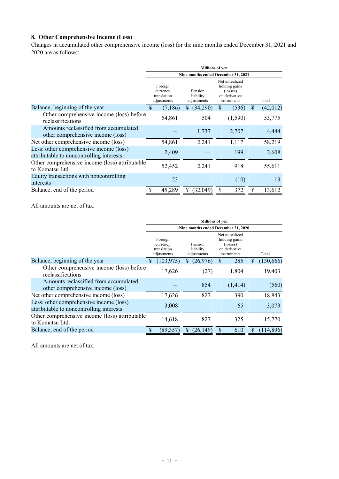#### **8. Other Comprehensive Income (Loss)**

Changes in accumulated other comprehensive income (loss) for the nine months ended December 31, 2021 and 2020 are as follows:

|                                                                                     | <b>Millions of yen</b>                            |                                     |                                                                             |   |          |
|-------------------------------------------------------------------------------------|---------------------------------------------------|-------------------------------------|-----------------------------------------------------------------------------|---|----------|
|                                                                                     |                                                   | Nine months ended December 31, 2021 |                                                                             |   |          |
|                                                                                     | Foreign<br>currency<br>translation<br>adjustments | Pension<br>liability<br>adjustments | Net unrealized<br>holding gains<br>(losses)<br>on derivative<br>instruments |   | Total    |
| Balance, beginning of the year                                                      | ¥<br>(7,186)                                      | (34,290)<br>¥                       | ¥<br>(536)                                                                  | ¥ | (42,012) |
| Other comprehensive income (loss) before<br>reclassifications                       | 54,861                                            | 504                                 | (1,590)                                                                     |   | 53,775   |
| Amounts reclassified from accumulated<br>other comprehensive income (loss)          |                                                   | 1,737                               | 2,707                                                                       |   | 4,444    |
| Net other comprehensive income (loss)                                               | 54,861                                            | 2,241                               | 1,117                                                                       |   | 58,219   |
| Less: other comprehensive income (loss)<br>attributable to noncontrolling interests | 2,409                                             |                                     | 199                                                                         |   | 2,608    |
| Other comprehensive income (loss) attributable<br>to Komatsu Ltd.                   | 52,452                                            | 2,241                               | 918                                                                         |   | 55,611   |
| Equity transactions with noncontrolling<br>interests                                | 23                                                |                                     | (10)                                                                        |   | 13       |
| Balance, end of the period                                                          | 45,289<br>¥                                       | ¥<br>(32,049)                       | ¥<br>372                                                                    | ¥ | 13,612   |

All amounts are net of tax.

|                                                                                     | <b>Millions of yen</b>                            |                                     |                                                                             |   |            |
|-------------------------------------------------------------------------------------|---------------------------------------------------|-------------------------------------|-----------------------------------------------------------------------------|---|------------|
|                                                                                     | Nine months ended December 31, 2020               |                                     |                                                                             |   |            |
|                                                                                     | Foreign<br>currency<br>translation<br>adjustments | Pension<br>liability<br>adjustments | Net unrealized<br>holding gains<br>(losses)<br>on derivative<br>instruments |   | Total      |
| Balance, beginning of the year                                                      | (103, 975)<br>¥                                   | (26,976)<br>¥                       | 285<br>¥                                                                    | ¥ | (130, 666) |
| Other comprehensive income (loss) before<br>reclassifications                       | 17,626                                            | (27)                                | 1,804                                                                       |   | 19,403     |
| Amounts reclassified from accumulated<br>other comprehensive income (loss)          |                                                   | 854                                 | (1,414)                                                                     |   | (560)      |
| Net other comprehensive income (loss)                                               | 17,626                                            | 827                                 | 390                                                                         |   | 18,843     |
| Less: other comprehensive income (loss)<br>attributable to noncontrolling interests | 3,008                                             |                                     | 65                                                                          |   | 3,073      |
| Other comprehensive income (loss) attributable<br>to Komatsu Ltd.                   | 14,618                                            | 827                                 | 325                                                                         |   | 15,770     |
| Balance, end of the period                                                          | (89, 357)                                         | ¥<br>(26, 149)                      | ¥<br>610                                                                    | ¥ | (114, 896) |

All amounts are net of tax.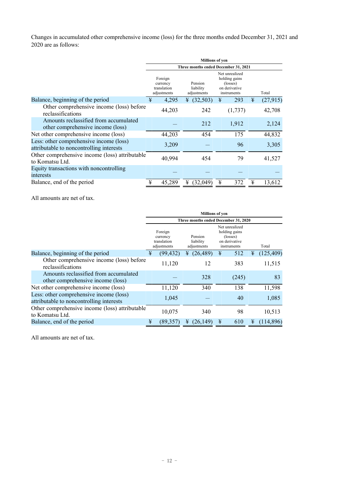Changes in accumulated other comprehensive income (loss) for the three months ended December 31, 2021 and 2020 are as follows:

|                                                                                     |                                                   | <b>Millions of yen</b>               |                                                                             |            |          |
|-------------------------------------------------------------------------------------|---------------------------------------------------|--------------------------------------|-----------------------------------------------------------------------------|------------|----------|
|                                                                                     |                                                   | Three months ended December 31, 2021 |                                                                             |            |          |
|                                                                                     | Foreign<br>currency<br>translation<br>adjustments | Pension<br>liability<br>adjustments  | Net unrealized<br>holding gains<br>(losses)<br>on derivative<br>instruments |            | Total    |
| Balance, beginning of the period                                                    | ¥<br>4,295                                        | (32,503)<br>¥                        | 293<br>¥                                                                    | $\ddagger$ | (27,915) |
| Other comprehensive income (loss) before<br>reclassifications                       | 44,203                                            | 242                                  | (1,737)                                                                     |            | 42,708   |
| Amounts reclassified from accumulated<br>other comprehensive income (loss)          |                                                   | 212                                  | 1,912                                                                       |            | 2,124    |
| Net other comprehensive income (loss)                                               | 44,203                                            | 454                                  | 175                                                                         |            | 44,832   |
| Less: other comprehensive income (loss)<br>attributable to noncontrolling interests | 3,209                                             |                                      | 96                                                                          |            | 3,305    |
| Other comprehensive income (loss) attributable<br>to Komatsu Ltd.                   | 40,994                                            | 454                                  | 79                                                                          |            | 41,527   |
| Equity transactions with noncontrolling<br>interests                                |                                                   |                                      |                                                                             |            |          |
| Balance, end of the period                                                          | 45,289<br>¥                                       | ¥<br>(32,049)                        | ¥<br>372                                                                    | ¥          | 13,612   |

All amounts are net of tax.

|                                                                                     | <b>Millions of ven</b>                            |                                     |                                                                             |   |            |  |
|-------------------------------------------------------------------------------------|---------------------------------------------------|-------------------------------------|-----------------------------------------------------------------------------|---|------------|--|
|                                                                                     | Three months ended December 31, 2020              |                                     |                                                                             |   |            |  |
|                                                                                     | Foreign<br>currency<br>translation<br>adjustments | Pension<br>liability<br>adjustments | Net unrealized<br>holding gains<br>(losses)<br>on derivative<br>instruments |   | Total      |  |
| Balance, beginning of the period                                                    | ¥<br>(99,432)                                     | (26, 489)<br>¥                      | ¥<br>512                                                                    | ¥ | (125, 409) |  |
| Other comprehensive income (loss) before<br>reclassifications                       | 11,120                                            | 12                                  | 383                                                                         |   | 11,515     |  |
| Amounts reclassified from accumulated<br>other comprehensive income (loss)          |                                                   | 328                                 | (245)                                                                       |   | 83         |  |
| Net other comprehensive income (loss)                                               | 11,120                                            | 340                                 | 138                                                                         |   | 11,598     |  |
| Less: other comprehensive income (loss)<br>attributable to noncontrolling interests | 1,045                                             |                                     | 40                                                                          |   | 1,085      |  |
| Other comprehensive income (loss) attributable<br>to Komatsu Ltd.                   | 10,075                                            | 340                                 | 98                                                                          |   | 10,513     |  |
| Balance, end of the period                                                          | ¥<br>(89, 357)                                    | ¥<br>(26, 149)                      | ¥<br>610                                                                    | ¥ | (114,896)  |  |

All amounts are net of tax.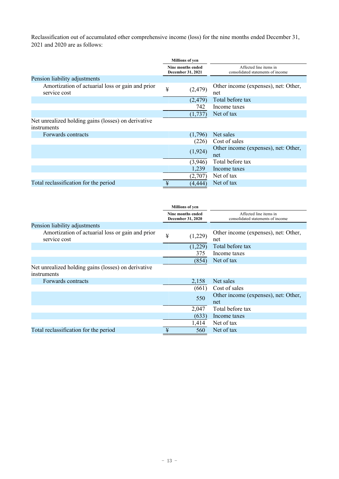Reclassification out of accumulated other comprehensive income (loss) for the nine months ended December 31, 2021 and 2020 are as follows:

|                                                                  | <b>Millions of yen</b>                 |          |                                                             |
|------------------------------------------------------------------|----------------------------------------|----------|-------------------------------------------------------------|
|                                                                  | Nine months ended<br>December 31, 2021 |          | Affected line items in<br>consolidated statements of income |
| Pension liability adjustments                                    |                                        |          |                                                             |
| Amortization of actuarial loss or gain and prior<br>service cost | ¥                                      | (2, 479) | Other income (expenses), net: Other,<br>net                 |
|                                                                  |                                        | (2, 479) | Total before tax                                            |
|                                                                  |                                        | 742      | Income taxes                                                |
|                                                                  |                                        | (1,737)  | Net of tax                                                  |
| Net unrealized holding gains (losses) on derivative              |                                        |          |                                                             |
| instruments                                                      |                                        |          |                                                             |
| Forwards contracts                                               |                                        | (1,796)  | Net sales                                                   |
|                                                                  |                                        | (226)    | Cost of sales                                               |
|                                                                  |                                        | (1, 924) | Other income (expenses), net: Other,                        |
|                                                                  |                                        |          | net                                                         |
|                                                                  |                                        | (3,946)  | Total before tax                                            |
|                                                                  |                                        | 1,239    | Income taxes                                                |
|                                                                  |                                        | (2,707)  | Net of tax                                                  |
| Total reclassification for the period                            | ¥                                      | (4,444)  | Net of tax                                                  |

|                                                                    | <b>Millions of yen</b>                 |                                                             |
|--------------------------------------------------------------------|----------------------------------------|-------------------------------------------------------------|
|                                                                    | Nine months ended<br>December 31, 2020 | Affected line items in<br>consolidated statements of income |
| Pension liability adjustments                                      |                                        |                                                             |
| Amortization of actuarial loss or gain and prior<br>service cost   | ¥<br>(1,229)                           | Other income (expenses), net: Other,<br>net                 |
|                                                                    | (1,229)                                | Total before tax                                            |
|                                                                    | 375                                    | Income taxes                                                |
|                                                                    | (854)                                  | Net of tax                                                  |
| Net unrealized holding gains (losses) on derivative<br>instruments |                                        |                                                             |
| Forwards contracts                                                 | 2,158                                  | Net sales                                                   |
|                                                                    | (661)                                  | Cost of sales                                               |
|                                                                    | 550                                    | Other income (expenses), net: Other,<br>net                 |
|                                                                    | 2,047                                  | Total before tax                                            |
|                                                                    | (633)                                  | Income taxes                                                |
|                                                                    | 1,414                                  | Net of tax                                                  |
| Total reclassification for the period                              | ¥<br>560                               | Net of tax                                                  |
|                                                                    |                                        |                                                             |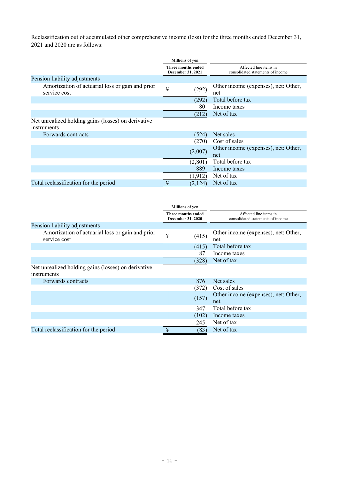Reclassification out of accumulated other comprehensive income (loss) for the three months ended December 31, 2021 and 2020 are as follows:

|                                                                  | <b>Millions of yen</b>                  |                                                             |
|------------------------------------------------------------------|-----------------------------------------|-------------------------------------------------------------|
|                                                                  | Three months ended<br>December 31, 2021 | Affected line items in<br>consolidated statements of income |
| Pension liability adjustments                                    |                                         |                                                             |
| Amortization of actuarial loss or gain and prior<br>service cost | ¥<br>(292)                              | Other income (expenses), net: Other,<br>net                 |
|                                                                  | (292)                                   | Total before tax                                            |
|                                                                  | 80                                      | Income taxes                                                |
|                                                                  | (212)                                   | Net of tax                                                  |
| Net unrealized holding gains (losses) on derivative              |                                         |                                                             |
| instruments                                                      |                                         |                                                             |
| Forwards contracts                                               | (524)                                   | Net sales                                                   |
|                                                                  | (270)                                   | Cost of sales                                               |
|                                                                  | (2,007)                                 | Other income (expenses), net: Other,<br>net                 |
|                                                                  | (2,801)                                 | Total before tax                                            |
|                                                                  | 889                                     | Income taxes                                                |
|                                                                  | (1, 912)                                | Net of tax                                                  |
| Total reclassification for the period                            | ¥<br>(2,124)                            | Net of tax                                                  |

|                                                                    | <b>Millions of yen</b>                  |                                                             |
|--------------------------------------------------------------------|-----------------------------------------|-------------------------------------------------------------|
|                                                                    | Three months ended<br>December 31, 2020 | Affected line items in<br>consolidated statements of income |
| Pension liability adjustments                                      |                                         |                                                             |
| Amortization of actuarial loss or gain and prior<br>service cost   | ¥<br>(415)                              | Other income (expenses), net: Other,<br>net                 |
|                                                                    | (415)                                   | Total before tax                                            |
|                                                                    | 87                                      | Income taxes                                                |
|                                                                    | (328)                                   | Net of tax                                                  |
| Net unrealized holding gains (losses) on derivative<br>instruments |                                         |                                                             |
| Forwards contracts                                                 | 876                                     | Net sales                                                   |
|                                                                    | (372)                                   | Cost of sales                                               |
|                                                                    | (157)                                   | Other income (expenses), net: Other,<br>net                 |
|                                                                    | 347                                     | Total before tax                                            |
|                                                                    | (102)                                   | Income taxes                                                |
|                                                                    | 245                                     | Net of tax                                                  |
| Total reclassification for the period                              | ¥<br>(83)                               | Net of tax                                                  |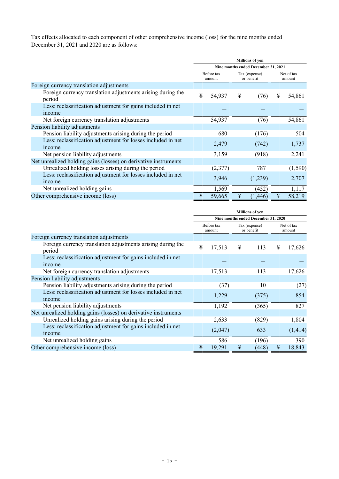Tax effects allocated to each component of other comprehensive income (loss) for the nine months ended December 31, 2021 and 2020 are as follows:

|                                                                              | <b>Millions of yen</b>              |                      |   |                             |   |                      |
|------------------------------------------------------------------------------|-------------------------------------|----------------------|---|-----------------------------|---|----------------------|
|                                                                              | Nine months ended December 31, 2021 |                      |   |                             |   |                      |
|                                                                              |                                     | Before tax<br>amount |   | Tax (expense)<br>or benefit |   | Net of tax<br>amount |
| Foreign currency translation adjustments                                     |                                     |                      |   |                             |   |                      |
| Foreign currency translation adjustments arising during the<br>period        | ¥                                   | 54,937               | ¥ | (76)                        | ¥ | 54,861               |
| Less: reclassification adjustment for gains included in net<br>income        |                                     |                      |   |                             |   |                      |
| Net foreign currency translation adjustments                                 |                                     | 54,937               |   | (76)                        |   | 54,861               |
| Pension liability adjustments                                                |                                     |                      |   |                             |   |                      |
| Pension liability adjustments arising during the period                      |                                     | 680                  |   | (176)                       |   | 504                  |
| Less: reclassification adjustment for losses included in net<br><i>ncome</i> |                                     | 2,479                |   | (742)                       |   | 1,737                |
| Net pension liability adjustments                                            |                                     | 3,159                |   | (918)                       |   | 2,241                |
| Net unrealized holding gains (losses) on derivative instruments              |                                     |                      |   |                             |   |                      |
| Unrealized holding losses arising during the period                          |                                     | (2,377)              |   | 787                         |   | (1,590)              |
| Less: reclassification adjustment for losses included in net<br><i>ncome</i> |                                     | 3,946                |   | (1,239)                     |   | 2,707                |
| Net unrealized holding gains                                                 |                                     | 1,569                |   | (452)                       |   | 1,117                |
| Other comprehensive income (loss)                                            | ¥                                   | 59,665               | ¥ | (1, 446)                    | ¥ | 58,219               |

|                                                                              |                                     |                      |   | <b>Millions of yen</b>      |   |                      |
|------------------------------------------------------------------------------|-------------------------------------|----------------------|---|-----------------------------|---|----------------------|
|                                                                              | Nine months ended December 31, 2020 |                      |   |                             |   |                      |
|                                                                              |                                     | Before tax<br>amount |   | Tax (expense)<br>or benefit |   | Net of tax<br>amount |
| Foreign currency translation adjustments                                     |                                     |                      |   |                             |   |                      |
| Foreign currency translation adjustments arising during the<br>period        | ¥                                   | 17,513               | ¥ | 113                         | ¥ | 17,626               |
| Less: reclassification adjustment for gains included in net<br>income        |                                     |                      |   |                             |   |                      |
| Net foreign currency translation adjustments                                 |                                     | 17,513               |   | 113                         |   | 17,626               |
| Pension liability adjustments                                                |                                     |                      |   |                             |   |                      |
| Pension liability adjustments arising during the period                      |                                     | (37)                 |   | 10                          |   | (27)                 |
| Less: reclassification adjustment for losses included in net<br>income       |                                     | 1,229                |   | (375)                       |   | 854                  |
| Net pension liability adjustments                                            |                                     | 1,192                |   | (365)                       |   | 827                  |
| Net unrealized holding gains (losses) on derivative instruments              |                                     |                      |   |                             |   |                      |
| Unrealized holding gains arising during the period                           |                                     | 2,633                |   | (829)                       |   | 1,804                |
| Less: reclassification adjustment for gains included in net<br><i>n</i> come |                                     | (2,047)              |   | 633                         |   | (1, 414)             |
| Net unrealized holding gains                                                 |                                     | 586                  |   | (196)                       |   | 390                  |
| Other comprehensive income (loss)                                            | ¥                                   | 19,291               | ¥ | (448)                       | ¥ | 18,843               |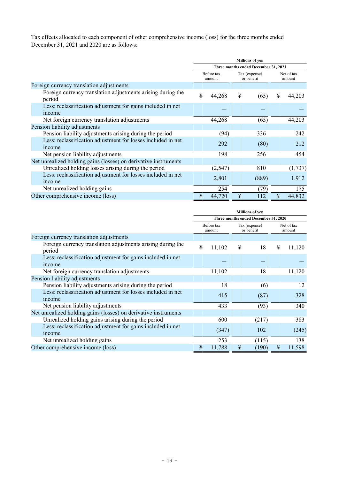Tax effects allocated to each component of other comprehensive income (loss) for the three months ended December 31, 2021 and 2020 are as follows:

|                                                                              | <b>Millions of yen</b>               |   |                             |   |                      |
|------------------------------------------------------------------------------|--------------------------------------|---|-----------------------------|---|----------------------|
|                                                                              | Three months ended December 31, 2021 |   |                             |   |                      |
|                                                                              | Before tax<br>amount                 |   | Tax (expense)<br>or benefit |   | Net of tax<br>amount |
| Foreign currency translation adjustments                                     |                                      |   |                             |   |                      |
| Foreign currency translation adjustments arising during the<br>period        | ¥<br>44,268                          | ¥ | (65)                        | ¥ | 44,203               |
| Less: reclassification adjustment for gains included in net<br>income        |                                      |   |                             |   |                      |
| Net foreign currency translation adjustments                                 | 44,268                               |   | (65)                        |   | 44,203               |
| Pension liability adjustments                                                |                                      |   |                             |   |                      |
| Pension liability adjustments arising during the period                      | (94)                                 |   | 336                         |   | 242                  |
| Less: reclassification adjustment for losses included in net<br><i>ncome</i> | 292                                  |   | (80)                        |   | 212                  |
| Net pension liability adjustments                                            | 198                                  |   | 256                         |   | 454                  |
| Net unrealized holding gains (losses) on derivative instruments              |                                      |   |                             |   |                      |
| Unrealized holding losses arising during the period                          | (2, 547)                             |   | 810                         |   | (1,737)              |
| Less: reclassification adjustment for losses included in net<br><i>ncome</i> | 2,801                                |   | (889)                       |   | 1,912                |
| Net unrealized holding gains                                                 | 254                                  |   | (79)                        |   | 175                  |
| Other comprehensive income (loss)                                            | ¥<br>44,720                          | ¥ | 112                         | ¥ | 44,832               |

|                                                                              |   |                      |   | <b>Millions of yen</b>               |   |                      |
|------------------------------------------------------------------------------|---|----------------------|---|--------------------------------------|---|----------------------|
|                                                                              |   |                      |   | Three months ended December 31, 2020 |   |                      |
|                                                                              |   | Before tax<br>amount |   | Tax (expense)<br>or benefit          |   | Net of tax<br>amount |
| Foreign currency translation adjustments                                     |   |                      |   |                                      |   |                      |
| Foreign currency translation adjustments arising during the<br>period        | ¥ | 11,102               | ¥ | 18                                   | ¥ | 11,120               |
| Less: reclassification adjustment for gains included in net<br>income        |   |                      |   |                                      |   |                      |
| Net foreign currency translation adjustments                                 |   | 11,102               |   | 18                                   |   | 11,120               |
| Pension liability adjustments                                                |   |                      |   |                                      |   |                      |
| Pension liability adjustments arising during the period                      |   | 18                   |   | (6)                                  |   | 12                   |
| Less: reclassification adjustment for losses included in net<br>income       |   | 415                  |   | (87)                                 |   | 328                  |
| Net pension liability adjustments                                            |   | 433                  |   | (93)                                 |   | 340                  |
| Net unrealized holding gains (losses) on derivative instruments              |   |                      |   |                                      |   |                      |
| Unrealized holding gains arising during the period                           |   | 600                  |   | (217)                                |   | 383                  |
| Less: reclassification adjustment for gains included in net<br><i>n</i> come |   | (347)                |   | 102                                  |   | (245)                |
| Net unrealized holding gains                                                 |   | 253                  |   | (115)                                |   | 138                  |
| Other comprehensive income (loss)                                            | ¥ | 11,788               | ¥ | (190)                                | ¥ | 11,598               |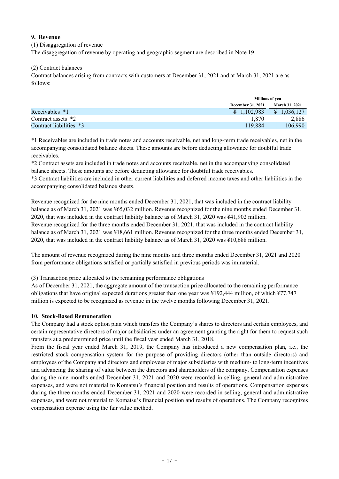#### **9. Revenue**

#### (1) Disaggregation of revenue

The disaggregation of revenue by operating and geographic segment are described in Note 19.

#### (2) Contract balances

Contract balances arising from contracts with customers at December 31, 2021 and at March 31, 2021 are as follows:

|                         | <b>Millions of ven</b>   |                                  |
|-------------------------|--------------------------|----------------------------------|
|                         | <b>December 31, 2021</b> | <b>March 31, 2021</b>            |
| Receivables *1          | $\text{\#}$ 1,102,983    | $\text{\textsterling} 1.036,127$ |
| Contract assets *2      | 1.870                    | 2,886                            |
| Contract liabilities *3 | 119.884                  | 106,990                          |

\*1 Receivables are included in trade notes and accounts receivable, net and long-term trade receivables, net in the accompanying consolidated balance sheets. These amounts are before deducting allowance for doubtful trade receivables.

\*2 Contract assets are included in trade notes and accounts receivable, net in the accompanying consolidated balance sheets. These amounts are before deducting allowance for doubtful trade receivables.

\*3 Contract liabilities are included in other current liabilities and deferred income taxes and other liabilities in the accompanying consolidated balance sheets.

Revenue recognized for the nine months ended December 31, 2021, that was included in the contract liability balance as of March 31, 2021 was ¥65,032 million. Revenue recognized for the nine months ended December 31, 2020, that was included in the contract liability balance as of March 31, 2020 was ¥41,902 million. Revenue recognized for the three months ended December 31, 2021, that was included in the contract liability balance as of March 31, 2021 was ¥18,661 million. Revenue recognized for the three months ended December 31, 2020, that was included in the contract liability balance as of March 31, 2020 was ¥10,688 million.

The amount of revenue recognized during the nine months and three months ended December 31, 2021 and 2020 from performance obligations satisfied or partially satisfied in previous periods was immaterial.

(3) Transaction price allocated to the remaining performance obligations

As of December 31, 2021, the aggregate amount of the transaction price allocated to the remaining performance obligations that have original expected durations greater than one year was ¥192,444 million, of which ¥77,747 million is expected to be recognized as revenue in the twelve months following December 31, 2021.

#### **10. Stock-Based Remuneration**

The Company had a stock option plan which transfers the Company's shares to directors and certain employees, and certain representative directors of major subsidiaries under an agreement granting the right for them to request such transfers at a predetermined price until the fiscal year ended March 31, 2018.

From the fiscal year ended March 31, 2019, the Company has introduced a new compensation plan, i.e., the restricted stock compensation system for the purpose of providing directors (other than outside directors) and employees of the Company and directors and employees of major subsidiaries with medium- to long-term incentives and advancing the sharing of value between the directors and shareholders of the company. Compensation expenses during the nine months ended December 31, 2021 and 2020 were recorded in selling, general and administrative expenses, and were not material to Komatsu's financial position and results of operations. Compensation expenses during the three months ended December 31, 2021 and 2020 were recorded in selling, general and administrative expenses, and were not material to Komatsu's financial position and results of operations. The Company recognizes compensation expense using the fair value method.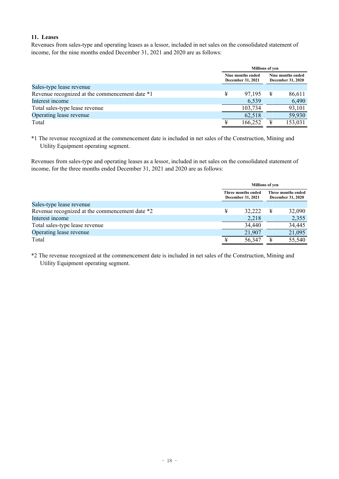#### **11. Leases**

Revenues from sales-type and operating leases as a lessor, included in net sales on the consolidated statement of income, for the nine months ended December 31, 2021 and 2020 are as follows:

|                                                |   | <b>Millions of ven</b>                        |   |                                        |  |
|------------------------------------------------|---|-----------------------------------------------|---|----------------------------------------|--|
|                                                |   | Nine months ended<br><b>December 31, 2021</b> |   | Nine months ended<br>December 31, 2020 |  |
| Sales-type lease revenue                       |   |                                               |   |                                        |  |
| Revenue recognized at the commencement date *1 | ¥ | 97.195                                        | ¥ | 86,611                                 |  |
| Interest income                                |   | 6,539                                         |   | 6,490                                  |  |
| Total sales-type lease revenue                 |   | 103,734                                       |   | 93,101                                 |  |
| Operating lease revenue                        |   | 62,518                                        |   | 59,930                                 |  |
| Total                                          | ¥ | 166,252                                       |   | 153,031                                |  |

\*1 The revenue recognized at the commencement date is included in net sales of the Construction, Mining and Utility Equipment operating segment.

Revenues from sales-type and operating leases as a lessor, included in net sales on the consolidated statement of income, for the three months ended December 31, 2021 and 2020 are as follows:

|                                                |   | Millions of yen                         |   |                                         |  |
|------------------------------------------------|---|-----------------------------------------|---|-----------------------------------------|--|
|                                                |   | Three months ended<br>December 31, 2021 |   | Three months ended<br>December 31, 2020 |  |
| Sales-type lease revenue                       |   |                                         |   |                                         |  |
| Revenue recognized at the commencement date *2 | ¥ | 32,222                                  | ¥ | 32,090                                  |  |
| Interest income                                |   | 2,218                                   |   | 2,355                                   |  |
| Total sales-type lease revenue                 |   | 34,440                                  |   | 34,445                                  |  |
| Operating lease revenue                        |   | 21,907                                  |   | 21,095                                  |  |
| Total                                          |   | 56,347                                  |   | 55,540                                  |  |

\*2 The revenue recognized at the commencement date is included in net sales of the Construction, Mining and Utility Equipment operating segment.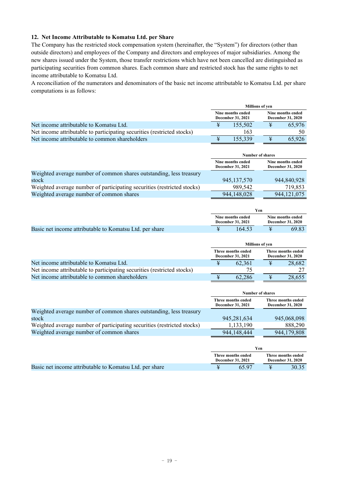#### **12. Net Income Attributable to Komatsu Ltd. per Share**

The Company has the restricted stock compensation system (hereinafter, the "System") for directors (other than outside directors) and employees of the Company and directors and employees of major subsidiaries. Among the new shares issued under the System, those transfer restrictions which have not been cancelled are distinguished as participating securities from common shares. Each common share and restricted stock has the same rights to net income attributable to Komatsu Ltd.

A reconciliation of the numerators and denominators of the basic net income attributable to Komatsu Ltd. per share computations is as follows:

|                                                                         | <b>Millions of yen</b>                        |  |                                               |  |  |
|-------------------------------------------------------------------------|-----------------------------------------------|--|-----------------------------------------------|--|--|
|                                                                         | Nine months ended<br><b>December 31, 2021</b> |  | Nine months ended<br><b>December 31, 2020</b> |  |  |
| Net income attributable to Komatsu Ltd.                                 | 155,502                                       |  | 65,976                                        |  |  |
| Net income attributable to participating securities (restricted stocks) | 163                                           |  | 50                                            |  |  |
| Net income attributable to common shareholders                          | 155.339                                       |  | 65.926                                        |  |  |

|                                                                         | <b>Number of shares</b>                |                                        |
|-------------------------------------------------------------------------|----------------------------------------|----------------------------------------|
|                                                                         | Nine months ended<br>December 31, 2021 | Nine months ended<br>December 31, 2020 |
| Weighted average number of common shares outstanding, less treasury     |                                        |                                        |
| stock                                                                   | 945, 137, 570                          | 944,840,928                            |
| Weighted average number of participating securities (restricted stocks) | 989,542                                | 719,853                                |
| Weighted average number of common shares                                | 944,148,028                            | 944, 121, 075                          |

|                                                         | Yen                                           |  |                                               |  |
|---------------------------------------------------------|-----------------------------------------------|--|-----------------------------------------------|--|
|                                                         | Nine months ended<br><b>December 31, 2021</b> |  | Nine months ended<br><b>December 31, 2020</b> |  |
| Basic net income attributable to Komatsu Ltd. per share | 164.53                                        |  | 69.83                                         |  |

|                                                                         | <b>Millions of ven</b>                  |        |  |                                         |
|-------------------------------------------------------------------------|-----------------------------------------|--------|--|-----------------------------------------|
|                                                                         | Three months ended<br>December 31, 2021 |        |  | Three months ended<br>December 31, 2020 |
| Net income attributable to Komatsu Ltd.                                 |                                         | 62.361 |  | 28,682                                  |
| Net income attributable to participating securities (restricted stocks) |                                         | 75.    |  |                                         |
| Net income attributable to common shareholders                          |                                         | 62.286 |  | 28.655                                  |

|                                                                         | <b>Number of shares</b>                                                                          |             |  |
|-------------------------------------------------------------------------|--------------------------------------------------------------------------------------------------|-------------|--|
|                                                                         | Three months ended<br>Three months ended<br><b>December 31, 2021</b><br><b>December 31, 2020</b> |             |  |
| Weighted average number of common shares outstanding, less treasury     |                                                                                                  |             |  |
| stock                                                                   | 945,281,634                                                                                      | 945,068,098 |  |
| Weighted average number of participating securities (restricted stocks) | 1,133,190                                                                                        | 888,290     |  |
| Weighted average number of common shares                                | 944,148,444                                                                                      | 944,179,808 |  |

|                                                         | Yen                                     |                                         |
|---------------------------------------------------------|-----------------------------------------|-----------------------------------------|
|                                                         | Three months ended<br>December 31, 2021 | Three months ended<br>December 31, 2020 |
| Basic net income attributable to Komatsu Ltd. per share | 65.97                                   | 30.35                                   |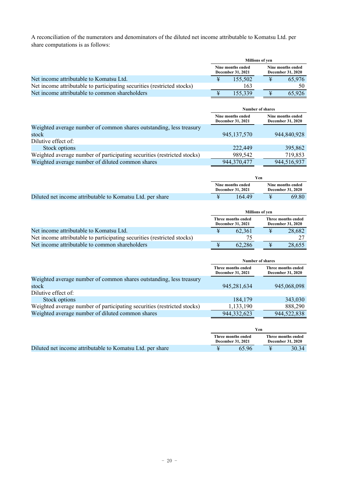A reconciliation of the numerators and denominators of the diluted net income attributable to Komatsu Ltd. per share computations is as follows:

|                                                                         | <b>Millions of yen</b>                 |         |                                        |        |
|-------------------------------------------------------------------------|----------------------------------------|---------|----------------------------------------|--------|
|                                                                         | Nine months ended<br>December 31, 2021 |         | Nine months ended<br>December 31, 2020 |        |
| Net income attributable to Komatsu Ltd.                                 |                                        | 155,502 |                                        | 65,976 |
| Net income attributable to participating securities (restricted stocks) |                                        | 163     |                                        | 50     |
| Net income attributable to common shareholders                          |                                        | 155.339 |                                        | 65.926 |

|                                                                         | <b>Number of shares</b>                |                                               |  |
|-------------------------------------------------------------------------|----------------------------------------|-----------------------------------------------|--|
|                                                                         | Nine months ended<br>December 31, 2021 | Nine months ended<br><b>December 31, 2020</b> |  |
| Weighted average number of common shares outstanding, less treasury     |                                        |                                               |  |
| stock                                                                   | 945, 137, 570                          | 944,840,928                                   |  |
| Dilutive effect of:                                                     |                                        |                                               |  |
| Stock options                                                           | 222,449                                | 395,862                                       |  |
| Weighted average number of participating securities (restricted stocks) | 989,542                                | 719,853                                       |  |
| Weighted average number of diluted common shares                        | 944,370,477                            | 944,516,937                                   |  |

|                                                           | Yen                                           |                                               |
|-----------------------------------------------------------|-----------------------------------------------|-----------------------------------------------|
|                                                           | Nine months ended<br><b>December 31, 2021</b> | Nine months ended<br><b>December 31, 2020</b> |
| Diluted net income attributable to Komatsu Ltd. per share | 164 49                                        | 69.80                                         |

|                                                                         | <b>Millions of ven</b>                         |        |  |                                                |
|-------------------------------------------------------------------------|------------------------------------------------|--------|--|------------------------------------------------|
|                                                                         | Three months ended<br><b>December 31, 2021</b> |        |  | Three months ended<br><b>December 31, 2020</b> |
| Net income attributable to Komatsu Ltd.                                 |                                                | 62.361 |  | 28,682                                         |
| Net income attributable to participating securities (restricted stocks) |                                                | 75.    |  |                                                |
| Net income attributable to common shareholders                          |                                                | 62.286 |  | 28.655                                         |

|                                                                         | <b>Number of shares</b>                 |                                         |  |
|-------------------------------------------------------------------------|-----------------------------------------|-----------------------------------------|--|
|                                                                         | Three months ended<br>December 31, 2021 | Three months ended<br>December 31, 2020 |  |
| Weighted average number of common shares outstanding, less treasury     |                                         |                                         |  |
| stock                                                                   | 945,281,634                             | 945,068,098                             |  |
| Dilutive effect of:                                                     |                                         |                                         |  |
| Stock options                                                           | 184,179                                 | 343,030                                 |  |
| Weighted average number of participating securities (restricted stocks) | 1,133,190                               | 888,290                                 |  |
| Weighted average number of diluted common shares                        | 944, 332, 623                           | 944,522,838                             |  |

|                                                           | Yen                                            |                                                |
|-----------------------------------------------------------|------------------------------------------------|------------------------------------------------|
|                                                           | Three months ended<br><b>December 31, 2021</b> | Three months ended<br><b>December 31, 2020</b> |
| Diluted net income attributable to Komatsu Ltd. per share | 65 96                                          | 30.34                                          |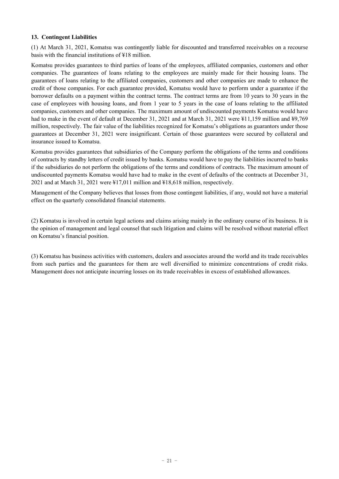#### **13. Contingent Liabilities**

(1) At March 31, 2021, Komatsu was contingently liable for discounted and transferred receivables on a recourse basis with the financial institutions of ¥18 million.

Komatsu provides guarantees to third parties of loans of the employees, affiliated companies, customers and other companies. The guarantees of loans relating to the employees are mainly made for their housing loans. The guarantees of loans relating to the affiliated companies, customers and other companies are made to enhance the credit of those companies. For each guarantee provided, Komatsu would have to perform under a guarantee if the borrower defaults on a payment within the contract terms. The contract terms are from 10 years to 30 years in the case of employees with housing loans, and from 1 year to 5 years in the case of loans relating to the affiliated companies, customers and other companies. The maximum amount of undiscounted payments Komatsu would have had to make in the event of default at December 31, 2021 and at March 31, 2021 were ¥11,159 million and ¥9,769 million, respectively. The fair value of the liabilities recognized for Komatsu's obligations as guarantors under those guarantees at December 31, 2021 were insignificant. Certain of those guarantees were secured by collateral and insurance issued to Komatsu.

Komatsu provides guarantees that subsidiaries of the Company perform the obligations of the terms and conditions of contracts by standby letters of credit issued by banks. Komatsu would have to pay the liabilities incurred to banks if the subsidiaries do not perform the obligations of the terms and conditions of contracts. The maximum amount of undiscounted payments Komatsu would have had to make in the event of defaults of the contracts at December 31, 2021 and at March 31, 2021 were ¥17,011 million and ¥18,618 million, respectively.

Management of the Company believes that losses from those contingent liabilities, if any, would not have a material effect on the quarterly consolidated financial statements.

(2) Komatsu is involved in certain legal actions and claims arising mainly in the ordinary course of its business. It is the opinion of management and legal counsel that such litigation and claims will be resolved without material effect on Komatsu's financial position.

(3) Komatsu has business activities with customers, dealers and associates around the world and its trade receivables from such parties and the guarantees for them are well diversified to minimize concentrations of credit risks. Management does not anticipate incurring losses on its trade receivables in excess of established allowances.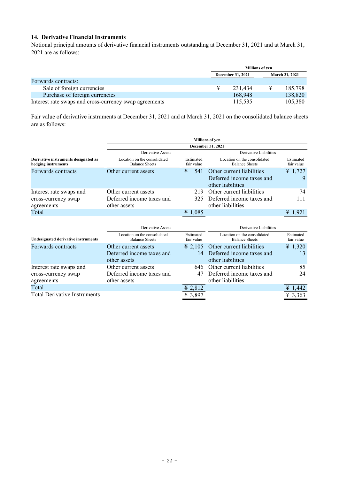#### **14. Derivative Financial Instruments**

Notional principal amounts of derivative financial instruments outstanding at December 31, 2021 and at March 31, 2021 are as follows:

|                                                        |   | <b>Millions of ven</b> |        |                       |  |
|--------------------------------------------------------|---|------------------------|--------|-----------------------|--|
|                                                        |   | December 31, 2021      |        | <b>March 31, 2021</b> |  |
| Forwards contracts:                                    |   |                        |        |                       |  |
| Sale of foreign currencies                             | ¥ | 231.434                | $\ast$ | 185,798               |  |
| Purchase of foreign currencies                         |   | 168,948                |        | 138,820               |  |
| Interest rate swaps and cross-currency swap agreements |   | 115,535                |        | 105,380               |  |

Fair value of derivative instruments at December 31, 2021 and at March 31, 2021 on the consolidated balance sheets are as follows:

|                                                              |                                                                   |                         | <b>Millions of yen</b>                                                          |                         |  |  |
|--------------------------------------------------------------|-------------------------------------------------------------------|-------------------------|---------------------------------------------------------------------------------|-------------------------|--|--|
| Derivative instruments designated as<br>hedging instruments  | December 31, 2021                                                 |                         |                                                                                 |                         |  |  |
|                                                              | Derivative Assets                                                 |                         | Derivative Liabilities                                                          |                         |  |  |
|                                                              | Location on the consolidated<br><b>Balance Sheets</b>             | Estimated<br>fair value | Location on the consolidated<br>Balance Sheets                                  | Estimated<br>fair value |  |  |
| Forwards contracts                                           | Other current assets                                              | ¥<br>541                | Other current liabilities<br>Deferred income taxes and<br>other liabilities     | ¥ 1,727<br>9            |  |  |
| Interest rate swaps and<br>cross-currency swap<br>agreements | Other current assets<br>Deferred income taxes and<br>other assets | 219                     | Other current liabilities<br>325 Deferred income taxes and<br>other liabilities | 74<br>111               |  |  |
| Total                                                        |                                                                   | ¥ 1,085                 |                                                                                 | ¥ 1,921                 |  |  |
|                                                              | Derivative Assets                                                 |                         | Derivative Liabilities                                                          |                         |  |  |
|                                                              | Location on the consolidated                                      | Estimated               | ocation on the consolidated                                                     | Estimated               |  |  |

| Location on the consolidated<br><b>Balance Sheets</b> | Estimated<br>fair value | Location on the consolidated<br><b>Balance Sheets</b> | Estimated<br>fair value                                                                                                                          |  |
|-------------------------------------------------------|-------------------------|-------------------------------------------------------|--------------------------------------------------------------------------------------------------------------------------------------------------|--|
| Other current assets                                  |                         |                                                       | ¥ 1,320                                                                                                                                          |  |
| Deferred income taxes and<br>other assets             |                         | other liabilities                                     | 13                                                                                                                                               |  |
| Other current assets                                  |                         |                                                       | 85                                                                                                                                               |  |
| Deferred income taxes and<br>other assets             |                         | other liabilities                                     | 24                                                                                                                                               |  |
|                                                       | $\text{\#}2,812$        |                                                       | $\frac{1}{4}$ 1,442                                                                                                                              |  |
|                                                       | ¥ 3,897                 |                                                       | ¥ 3,363                                                                                                                                          |  |
|                                                       |                         |                                                       | $\frac{1}{2}$ , 2,105 Other current liabilities<br>14 Deferred income taxes and<br>646 Other current liabilities<br>47 Deferred income taxes and |  |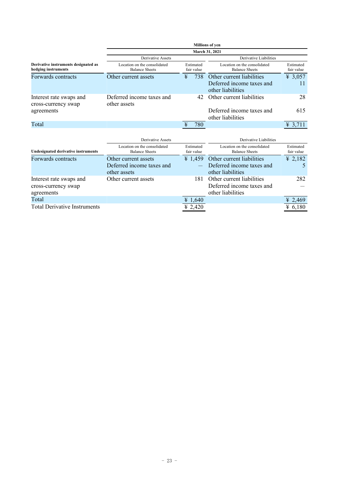|                                                             | <b>Millions of ven</b>                                |   |                         |                                                                             |                         |  |  |  |
|-------------------------------------------------------------|-------------------------------------------------------|---|-------------------------|-----------------------------------------------------------------------------|-------------------------|--|--|--|
|                                                             | March 31, 2021                                        |   |                         |                                                                             |                         |  |  |  |
|                                                             | Derivative Assets                                     |   |                         | Derivative Liabilities                                                      |                         |  |  |  |
| Derivative instruments designated as<br>hedging instruments | Location on the consolidated<br><b>Balance Sheets</b> |   | Estimated<br>fair value | Location on the consolidated<br><b>Balance Sheets</b>                       | Estimated<br>fair value |  |  |  |
| Forwards contracts                                          | Other current assets                                  | ¥ | 738                     | Other current liabilities<br>Deferred income taxes and<br>other liabilities | ¥ 3,057<br>11           |  |  |  |
| Interest rate swaps and<br>cross-currency swap              | Deferred income taxes and<br>other assets             |   |                         | 42 Other current liabilities                                                | 28                      |  |  |  |
| agreements                                                  |                                                       |   |                         | Deferred income taxes and<br>other liabilities                              | 615                     |  |  |  |
| Total                                                       |                                                       | ¥ | 780                     |                                                                             | $\frac{1}{2}$ 3,711     |  |  |  |

|                                                              | Derivative Assets                                                 |                         | Derivative Liabilities                                                        |                         |  |  |
|--------------------------------------------------------------|-------------------------------------------------------------------|-------------------------|-------------------------------------------------------------------------------|-------------------------|--|--|
| Undesignated derivative instruments                          | Location on the consolidated<br><b>Balance Sheets</b>             | Estimated<br>fair value | Location on the consolidated<br><b>Balance Sheets</b>                         | Estimated<br>fair value |  |  |
| Forwards contracts                                           | Other current assets<br>Deferred income taxes and<br>other assets | $\frac{1}{2}$ 1.459     | Other current liabilities<br>- Deferred income taxes and<br>other liabilities | $\text{\#}2,182$        |  |  |
| Interest rate swaps and<br>cross-currency swap<br>agreements | Other current assets                                              | 181.                    | Other current liabilities<br>Deferred income taxes and<br>other liabilities   | 282                     |  |  |
| Total                                                        |                                                                   | ¥ 1,640                 |                                                                               | ¥ 2,469                 |  |  |
| <b>Total Derivative Instruments</b>                          |                                                                   | ¥ 2,420                 |                                                                               | ¥ 6,180                 |  |  |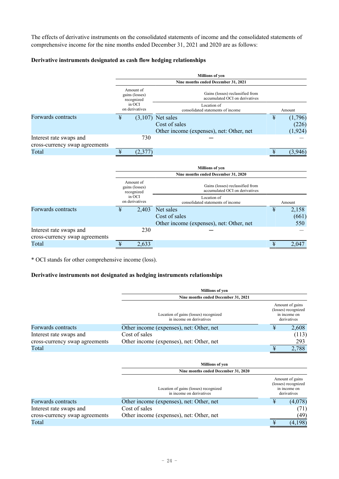The effects of derivative instruments on the consolidated statements of income and the consolidated statements of comprehensive income for the nine months ended December 31, 2021 and 2020 are as follows:

#### **Derivative instruments designated as cash flow hedging relationships**

|                                                           | <b>Millions of yen</b>   |                                           |                                                                                  |   |                              |  |  |  |  |
|-----------------------------------------------------------|--------------------------|-------------------------------------------|----------------------------------------------------------------------------------|---|------------------------------|--|--|--|--|
|                                                           |                          | Nine months ended December 31, 2021       |                                                                                  |   |                              |  |  |  |  |
|                                                           |                          | Amount of<br>gains (losses)<br>recognized | Gains (losses) reclassified from<br>accumulated OCI on derivatives               |   |                              |  |  |  |  |
|                                                           | in OCI<br>on derivatives |                                           | Location of<br>consolidated statements of income                                 |   | Amount                       |  |  |  |  |
| Forwards contracts                                        | ¥                        |                                           | $(3,107)$ Net sales<br>Cost of sales<br>Other income (expenses), net: Other, net | ¥ | (1,796)<br>(226)<br>(1, 924) |  |  |  |  |
| Interest rate swaps and<br>cross-currency swap agreements |                          | 730                                       |                                                                                  |   |                              |  |  |  |  |
| Total                                                     | ¥                        | (2,377)                                   |                                                                                  | ¥ | (3,946)                      |  |  |  |  |
|                                                           |                          |                                           | <b>Millions of yen</b>                                                           |   |                              |  |  |  |  |
|                                                           |                          |                                           | Nine months ended December 31, 2020                                              |   |                              |  |  |  |  |
|                                                           |                          | Amount of<br>gains (losses)<br>recognized | Gains (losses) reclassified from<br>accumulated OCI on derivatives               |   |                              |  |  |  |  |
|                                                           |                          | in OCI<br>on derivatives                  | Location of<br>consolidated statements of income                                 |   | Amount                       |  |  |  |  |
| Forwards contracts                                        | ¥                        | 2,403                                     | Net sales                                                                        | ¥ | 2,158                        |  |  |  |  |
|                                                           |                          |                                           | Cost of sales                                                                    |   | (661)                        |  |  |  |  |
|                                                           |                          |                                           | Other income (expenses), net: Other, net                                         |   | 550                          |  |  |  |  |
| Interest rate swaps and                                   |                          | 230                                       |                                                                                  |   |                              |  |  |  |  |
| cross-currency swap agreements                            |                          |                                           |                                                                                  |   |                              |  |  |  |  |
| Total                                                     | ¥                        | 2,633                                     |                                                                                  | ¥ | 2,047                        |  |  |  |  |

\* OCI stands for other comprehensive income (loss).

#### **Derivative instruments not designated as hedging instruments relationships**

|                                | <b>Millions of yen</b>                                            |   |                                                                       |
|--------------------------------|-------------------------------------------------------------------|---|-----------------------------------------------------------------------|
|                                | Nine months ended December 31, 2021                               |   |                                                                       |
|                                | Location of gains (losses) recognized<br>in income on derivatives |   | Amount of gains<br>(losses) recognized<br>in income on<br>derivatives |
| Forwards contracts             | Other income (expenses), net: Other, net                          | ¥ | 2,608                                                                 |
| Interest rate swaps and        | Cost of sales                                                     |   | (113)                                                                 |
| cross-currency swap agreements | Other income (expenses), net: Other, net                          |   | 293                                                                   |
| Total                          |                                                                   | ¥ | 2,788                                                                 |
|                                | <b>Millions of yen</b>                                            |   |                                                                       |
|                                | Nine months ended December 31, 2020                               |   |                                                                       |
|                                | Location of gains (losses) recognized<br>in income on derivatives |   | Amount of gains<br>(losses) recognized<br>in income on<br>derivatives |
| Forwards contracts             | Other income (expenses), net: Other, net                          | ¥ | (4,078)                                                               |
| Interest rate swaps and        | Cost of sales                                                     |   | (71)                                                                  |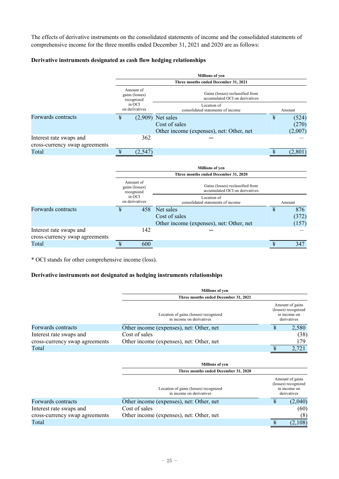The effects of derivative instruments on the consolidated statements of income and the consolidated statements of comprehensive income for the three months ended December 31, 2021 and 2020 are as follows:

#### **Derivative instruments designated as cash flow hedging relationships**

|                                                           |                                           |                                           | <b>Millions of yen</b>                                                           |   |                           |  |  |
|-----------------------------------------------------------|-------------------------------------------|-------------------------------------------|----------------------------------------------------------------------------------|---|---------------------------|--|--|
|                                                           |                                           |                                           | Three months ended December 31, 2021                                             |   |                           |  |  |
|                                                           |                                           | Amount of<br>gains (losses)<br>recognized | Gains (losses) reclassified from<br>accumulated OCI on derivatives               |   |                           |  |  |
|                                                           | in OCI<br>on derivatives                  |                                           | Location of<br>consolidated statements of income                                 |   | Amount                    |  |  |
| Forwards contracts                                        | ¥                                         |                                           | $(2,909)$ Net sales<br>Cost of sales<br>Other income (expenses), net: Other, net | ¥ | (524)<br>(270)<br>(2,007) |  |  |
| Interest rate swaps and<br>cross-currency swap agreements |                                           | 362                                       |                                                                                  |   |                           |  |  |
| Total                                                     | ¥                                         | (2,547)                                   |                                                                                  | ¥ | (2,801)                   |  |  |
|                                                           |                                           |                                           | <b>Millions of yen</b>                                                           |   |                           |  |  |
|                                                           |                                           |                                           | Three months ended December 31, 2020                                             |   |                           |  |  |
|                                                           | Amount of<br>gains (losses)<br>recognized |                                           | Gains (losses) reclassified from<br>accumulated OCI on derivatives               |   |                           |  |  |
|                                                           |                                           | in OCI<br>on derivatives                  | Location of<br>consolidated statements of income                                 |   | Amount                    |  |  |
| Forwards contracts                                        | ¥                                         | 458                                       | Net sales<br>Cost of sales<br>Other income (expenses), net: Other, net           | ¥ | 876<br>(372)<br>(157)     |  |  |
| Interest rate swaps and<br>cross-currency swap agreements |                                           | 142                                       |                                                                                  |   |                           |  |  |
| Total                                                     | ¥                                         | 600                                       |                                                                                  | ¥ | 347                       |  |  |

\* OCI stands for other comprehensive income (loss).

#### **Derivative instruments not designated as hedging instruments relationships**

|                                | <b>Millions of yen</b>                                            |   |                                                                       |
|--------------------------------|-------------------------------------------------------------------|---|-----------------------------------------------------------------------|
|                                | Three months ended December 31, 2021                              |   |                                                                       |
|                                | Location of gains (losses) recognized<br>in income on derivatives |   | Amount of gains<br>(losses) recognized<br>in income on<br>derivatives |
| Forwards contracts             | Other income (expenses), net: Other, net                          | ¥ | 2,580                                                                 |
| Interest rate swaps and        | Cost of sales                                                     |   | (38)                                                                  |
| cross-currency swap agreements | Other income (expenses), net: Other, net                          |   | 179                                                                   |
| Total                          |                                                                   | ¥ | 2,721                                                                 |
|                                | <b>Millions of yen</b>                                            |   |                                                                       |
|                                | Three months ended December 31, 2020                              |   |                                                                       |
|                                | Location of gains (losses) recognized<br>in income on derivatives |   | Amount of gains<br>(losses) recognized<br>in income on<br>derivatives |
| Forwards contracts             | Other income (expenses), net: Other, net                          | ¥ | (2,040)                                                               |
| Interest rate swaps and        | Cost of sales                                                     |   | (60)                                                                  |
| cross-currency swap agreements | Other income (expenses), net: Other, net                          |   | (8)                                                                   |

Total ¥ (2,108)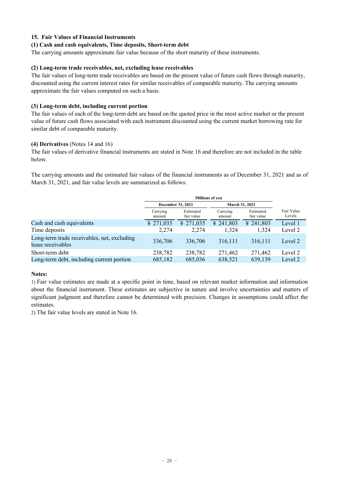#### **15. Fair Values of Financial Instruments**

#### **(1) Cash and cash equivalents, Time deposits, Short-term debt**

The carrying amounts approximate fair value because of the short maturity of these instruments.

#### **(2) Long-term trade receivables, net, excluding lease receivables**

The fair values of long-term trade receivables are based on the present value of future cash flows through maturity, discounted using the current interest rates for similar receivables of comparable maturity. The carrying amounts approximate the fair values computed on such a basis.

#### **(3) Long-term debt, including current portion**

The fair values of each of the long-term debt are based on the quoted price in the most active market or the present value of future cash flows associated with each instrument discounted using the current market borrowing rate for similar debt of comparable maturity.

#### **(4) Derivatives** (Notes 14 and 16)

The fair values of derivative financial instruments are stated in Note 16 and therefore are not included in the table below.

The carrying amounts and the estimated fair values of the financial instruments as of December 31, 2021 and as of March 31, 2021, and fair value levels are summarized as follows:

|                                                                  | December 31, 2021  |                         | March 31, 2021     |                         |                      |
|------------------------------------------------------------------|--------------------|-------------------------|--------------------|-------------------------|----------------------|
|                                                                  | Carrying<br>amount | Estimated<br>fair value | Carrying<br>amount | Estimated<br>fair value | Fair Value<br>Levels |
| Cash and cash equivalents                                        | ¥ 271,035          | $\text{\# } 271,035$    | ¥ 241,803          | ¥ 241,803               | Level 1              |
| Time deposits                                                    | 2,274              | 2.274                   | 1,324              | 1,324                   | Level 2              |
| Long-term trade receivables, net, excluding<br>lease receivables | 336,706            | 336,706                 | 316,111            | 316,111                 | Level 2              |
| Short-term debt                                                  | 238,782            | 238,782                 | 271,462            | 271,462                 | Level 2              |
| Long-term debt, including current portion                        | 685,182            | 685,036                 | 638,521            | 639,139                 | Level 2              |

#### **Notes:**

1) Fair value estimates are made at a specific point in time, based on relevant market information and information about the financial instrument. These estimates are subjective in nature and involve uncertainties and matters of significant judgment and therefore cannot be determined with precision. Changes in assumptions could affect the estimates.

2) The fair value levels are stated in Note 16.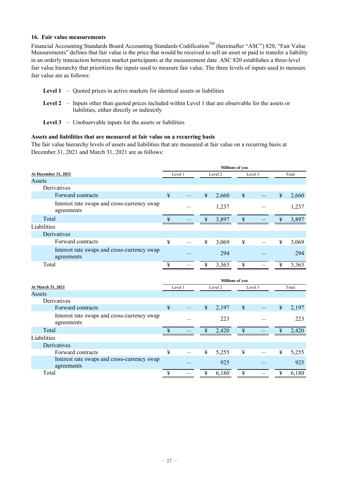#### **16. Fair value measurements**

Financial Accounting Standards Board Accounting Standards Codification<sup>TM</sup> (hereinafter "ASC") 820, "Fair Value Measurements" defines that fair value is the price that would be received to sell an asset or paid to transfer a liability in an orderly transaction between market participants at the measurement date. ASC 820 establishes a three-level fair value hierarchy that prioritizes the inputs used to measure fair value. The three levels of inputs used to measure fair value are as follows:

- **Level 1** Quoted prices in active markets for identical assets or liabilities
- **Level 2** Inputs other than quoted prices included within Level 1 that are observable for the assets or liabilities, either directly or indirectly
- **Level 3** Unobservable inputs for the assets or liabilities

#### **Assets and liabilities that are measured at fair value on a recurring basis**

The fair value hierarchy levels of assets and liabilities that are measured at fair value on a recurring basis at December 31, 2021 and March 31, 2021 are as follows:

|                                                           | <b>Millions</b> of yen |         |         |         |                        |         |       |       |
|-----------------------------------------------------------|------------------------|---------|---------|---------|------------------------|---------|-------|-------|
| At December 31, 2021                                      | Level 1                |         | Level 2 |         | Level 3                |         | Total |       |
| Assets                                                    |                        |         |         |         |                        |         |       |       |
| Derivatives                                               |                        |         |         |         |                        |         |       |       |
| Forward contracts                                         | ¥                      |         | ¥       | 2,660   | ¥                      |         | ¥     | 2,660 |
| Interest rate swaps and cross-currency swap<br>agreements |                        |         |         | 1,237   |                        |         |       | 1,237 |
| Total                                                     | ¥                      |         | ¥       | 3,897   | ¥                      |         | ¥     | 3,897 |
| Liabilities                                               |                        |         |         |         |                        |         |       |       |
| Derivatives                                               |                        |         |         |         |                        |         |       |       |
| Forward contracts                                         | ¥                      |         | ¥       | 3,069   | ¥                      |         | ¥     | 3,069 |
| Interest rate swaps and cross-currency swap<br>agreements |                        |         |         | 294     |                        |         |       | 294   |
| Total                                                     | ¥                      |         | ¥       | 3,363   | ¥                      |         | ¥     | 3,363 |
|                                                           |                        |         |         |         |                        |         |       |       |
|                                                           |                        |         |         |         |                        |         |       |       |
|                                                           |                        |         |         |         | <b>Millions</b> of yen |         |       |       |
| At March 31, 2021                                         |                        | Level 1 |         | Level 2 |                        | Level 3 |       | Total |
| Assets                                                    |                        |         |         |         |                        |         |       |       |
| Derivatives                                               |                        |         |         |         |                        |         |       |       |
| Forward contracts                                         | ¥                      |         | ¥       | 2,197   | ¥                      |         | ¥     | 2,197 |
| Interest rate swaps and cross-currency swap<br>agreements |                        |         |         | 223     |                        |         |       | 223   |
| Total                                                     | ¥                      |         | ¥       | 2,420   | ¥                      |         | ¥     | 2,420 |
| Liabilities                                               |                        |         |         |         |                        |         |       |       |
| Derivatives                                               |                        |         |         |         |                        |         |       |       |
| Forward contracts                                         | ¥                      |         | ¥       | 5,255   | ¥                      |         | ¥     | 5,255 |
| Interest rate swaps and cross-currency swap<br>agreements |                        |         |         | 925     |                        |         |       | 925   |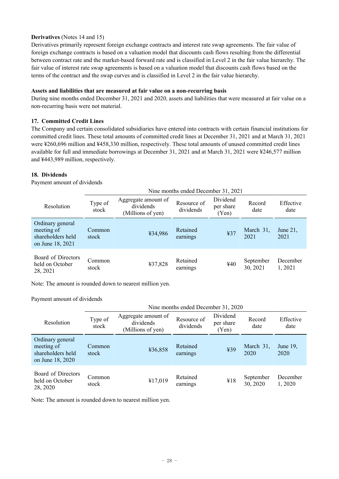#### **Derivatives** (Notes 14 and 15)

Derivatives primarily represent foreign exchange contracts and interest rate swap agreements. The fair value of foreign exchange contracts is based on a valuation model that discounts cash flows resulting from the differential between contract rate and the market-based forward rate and is classified in Level 2 in the fair value hierarchy. The fair value of interest rate swap agreements is based on a valuation model that discounts cash flows based on the terms of the contract and the swap curves and is classified in Level 2 in the fair value hierarchy.

#### **Assets and liabilities that are measured at fair value on a non-recurring basis**

During nine months ended December 31, 2021 and 2020, assets and liabilities that were measured at fair value on a non-recurring basis were not material.

#### **17. Committed Credit Lines**

The Company and certain consolidated subsidiaries have entered into contracts with certain financial institutions for committed credit lines. These total amounts of committed credit lines at December 31, 2021 and at March 31, 2021 were ¥260,696 million and ¥458,330 million, respectively. These total amounts of unused committed credit lines available for full and immediate borrowings at December 31, 2021 and at March 31, 2021 were ¥246,577 million and ¥443,989 million, respectively.

#### **18. Dividends**

Payment amount of dividends

|                                                                         | Nine months ended December 31, 2021 |                                                       |                          |                                |                       |                     |
|-------------------------------------------------------------------------|-------------------------------------|-------------------------------------------------------|--------------------------|--------------------------------|-----------------------|---------------------|
| Resolution                                                              | Type of<br>stock                    | Aggregate amount of<br>dividends<br>(Millions of yen) | Resource of<br>dividends | Dividend<br>per share<br>(Yen) | Record<br>date        | Effective<br>date   |
| Ordinary general<br>meeting of<br>shareholders held<br>on June 18, 2021 | Common<br>stock                     | ¥34,986                                               | Retained<br>earnings     | 437                            | March 31,<br>2021     | June $21$ ,<br>2021 |
| Board of Directors<br>held on October<br>28, 2021                       | Common<br>stock                     | ¥37,828                                               | Retained<br>earnings     | ¥40                            | September<br>30, 2021 | December<br>1, 2021 |

Note: The amount is rounded down to nearest million yen.

Payment amount of dividends

|                                                                         | Nine months ended December 31, 2020 |                                                       |                          |                                |                       |                     |  |
|-------------------------------------------------------------------------|-------------------------------------|-------------------------------------------------------|--------------------------|--------------------------------|-----------------------|---------------------|--|
| Resolution                                                              | Type of<br>stock                    | Aggregate amount of<br>dividends<br>(Millions of yen) | Resource of<br>dividends | Dividend<br>per share<br>(Yen) | Record<br>date        | Effective<br>date   |  |
| Ordinary general<br>meeting of<br>shareholders held<br>on June 18, 2020 | Common<br>stock                     | ¥36,858                                               | Retained<br>earnings     | ¥39                            | March 31,<br>2020     | June 19,<br>2020    |  |
| Board of Directors<br>held on October<br>28, 2020                       | Common<br>stock                     | ¥17,019                                               | Retained<br>earnings     | ¥18                            | September<br>30, 2020 | December<br>1, 2020 |  |

Note: The amount is rounded down to nearest million yen.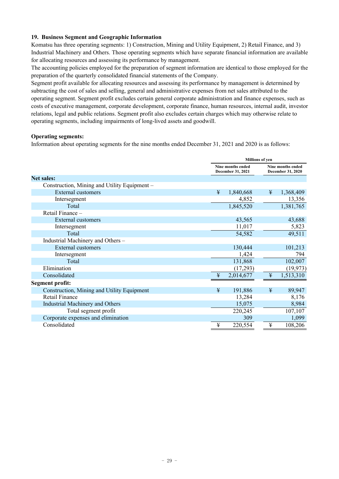#### **19. Business Segment and Geographic Information**

Komatsu has three operating segments: 1) Construction, Mining and Utility Equipment, 2) Retail Finance, and 3) Industrial Machinery and Others. Those operating segments which have separate financial information are available for allocating resources and assessing its performance by management.

The accounting policies employed for the preparation of segment information are identical to those employed for the preparation of the quarterly consolidated financial statements of the Company.

Segment profit available for allocating resources and assessing its performance by management is determined by subtracting the cost of sales and selling, general and administrative expenses from net sales attributed to the operating segment. Segment profit excludes certain general corporate administration and finance expenses, such as costs of executive management, corporate development, corporate finance, human resources, internal audit, investor relations, legal and public relations. Segment profit also excludes certain charges which may otherwise relate to operating segments, including impairments of long-lived assets and goodwill.

#### **Operating segments:**

Information about operating segments for the nine months ended December 31, 2021 and 2020 is as follows:

|                                              | <b>Millions of ven</b>                 |                                        |
|----------------------------------------------|----------------------------------------|----------------------------------------|
|                                              | Nine months ended<br>December 31, 2021 | Nine months ended<br>December 31, 2020 |
| <b>Net sales:</b>                            |                                        |                                        |
| Construction, Mining and Utility Equipment - |                                        |                                        |
| <b>External customers</b>                    | ¥<br>1,840,668                         | 1,368,409<br>¥                         |
| Intersegment                                 | 4,852                                  | 13,356                                 |
| Total                                        | 1,845,520                              | 1,381,765                              |
| Retail Finance -                             |                                        |                                        |
| External customers                           | 43,565                                 | 43,688                                 |
| Intersegment                                 | 11,017                                 | 5,823                                  |
| Total                                        | 54,582                                 | 49,511                                 |
| Industrial Machinery and Others -            |                                        |                                        |
| External customers                           | 130,444                                | 101,213                                |
| Intersegment                                 | 1,424                                  | 794                                    |
| Total                                        | 131,868                                | 102,007                                |
| Elimination                                  | (17,293)                               | (19, 973)                              |
| Consolidated                                 | 2,014,677<br>¥                         | 1,513,310<br>¥                         |
| <b>Segment profit:</b>                       |                                        |                                        |
| Construction, Mining and Utility Equipment   | ¥<br>191,886                           | ¥<br>89,947                            |
| Retail Finance                               | 13,284                                 | 8,176                                  |
| <b>Industrial Machinery and Others</b>       | 15,075                                 | 8,984                                  |
| Total segment profit                         | 220,245                                | 107,107                                |
| Corporate expenses and elimination           | 309                                    | 1,099                                  |
| Consolidated                                 | ¥<br>220,554                           | ¥<br>108,206                           |
|                                              |                                        |                                        |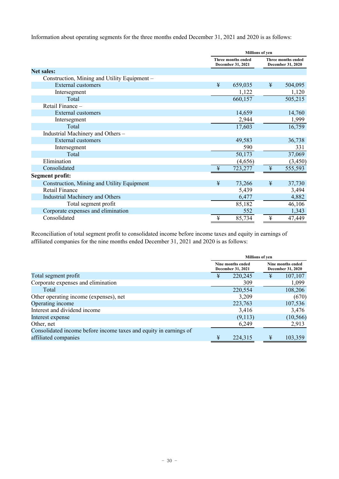Information about operating segments for the three months ended December 31, 2021 and 2020 is as follows:

|                                              |   | <b>Millions</b> of yen                         |                                                |          |  |
|----------------------------------------------|---|------------------------------------------------|------------------------------------------------|----------|--|
|                                              |   | <b>Three months ended</b><br>December 31, 2021 | <b>Three months ended</b><br>December 31, 2020 |          |  |
| <b>Net sales:</b>                            |   |                                                |                                                |          |  |
| Construction, Mining and Utility Equipment - |   |                                                |                                                |          |  |
| <b>External customers</b>                    | ¥ | 659,035                                        | ¥                                              | 504,095  |  |
| Intersegment                                 |   | 1,122                                          |                                                | 1,120    |  |
| Total                                        |   | 660,157                                        |                                                | 505,215  |  |
| Retail Finance -                             |   |                                                |                                                |          |  |
| <b>External customers</b>                    |   | 14,659                                         |                                                | 14,760   |  |
| Intersegment                                 |   | 2,944                                          |                                                | 1,999    |  |
| Total                                        |   | 17,603                                         |                                                | 16,759   |  |
| Industrial Machinery and Others -            |   |                                                |                                                |          |  |
| <b>External customers</b>                    |   | 49,583                                         |                                                | 36,738   |  |
| Intersegment                                 |   | 590                                            |                                                | 331      |  |
| Total                                        |   | 50,173                                         |                                                | 37,069   |  |
| Elimination                                  |   | (4,656)                                        |                                                | (3, 450) |  |
| Consolidated                                 | ¥ | 723,277                                        | ¥                                              | 555,593  |  |
| <b>Segment profit:</b>                       |   |                                                |                                                |          |  |
| Construction, Mining and Utility Equipment   | ¥ | 73,266                                         | ¥                                              | 37,730   |  |
| Retail Finance                               |   | 5,439                                          |                                                | 3,494    |  |
| Industrial Machinery and Others              |   | 6,477                                          |                                                | 4,882    |  |
| Total segment profit                         |   | 85,182                                         |                                                | 46,106   |  |
| Corporate expenses and elimination           |   | 552                                            |                                                | 1,343    |  |
| Consolidated                                 | ¥ | 85,734                                         | ¥                                              | 47,449   |  |

Reconciliation of total segment profit to consolidated income before income taxes and equity in earnings of affiliated companies for the nine months ended December 31, 2021 and 2020 is as follows:

|                                                                   | <b>Millions of ven</b> |                                        |   |                                               |  |
|-------------------------------------------------------------------|------------------------|----------------------------------------|---|-----------------------------------------------|--|
|                                                                   |                        | Nine months ended<br>December 31, 2021 |   | Nine months ended<br><b>December 31, 2020</b> |  |
| Total segment profit                                              | ¥                      | 220,245                                | ¥ | 107,107                                       |  |
| Corporate expenses and elimination                                |                        | 309                                    |   | 1,099                                         |  |
| Total                                                             |                        | 220,554                                |   | 108,206                                       |  |
| Other operating income (expenses), net                            |                        | 3,209                                  |   | (670)                                         |  |
| Operating income                                                  |                        | 223,763                                |   | 107,536                                       |  |
| Interest and dividend income                                      |                        | 3,416                                  |   | 3,476                                         |  |
| Interest expense                                                  |                        | (9,113)                                |   | (10, 566)                                     |  |
| Other, net                                                        |                        | 6,249                                  |   | 2,913                                         |  |
| Consolidated income before income taxes and equity in earnings of |                        |                                        |   |                                               |  |
| affiliated companies                                              | ¥                      | 224,315                                | ¥ | 103,359                                       |  |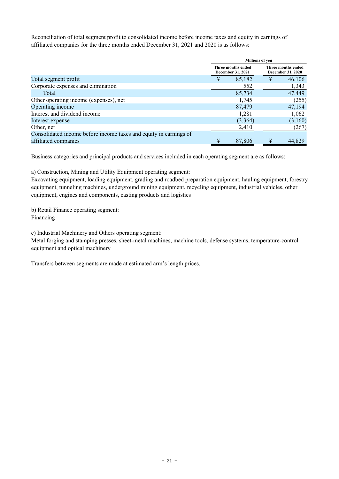Reconciliation of total segment profit to consolidated income before income taxes and equity in earnings of affiliated companies for the three months ended December 31, 2021 and 2020 is as follows:

|                                                                   | <b>Millions of ven</b> |                                         |                                                |         |
|-------------------------------------------------------------------|------------------------|-----------------------------------------|------------------------------------------------|---------|
|                                                                   |                        | Three months ended<br>December 31, 2021 | <b>Three months ended</b><br>December 31, 2020 |         |
| Total segment profit                                              | ¥                      | 85,182                                  | ¥                                              | 46,106  |
| Corporate expenses and elimination                                |                        | 552                                     |                                                | 1,343   |
| Total                                                             |                        | 85,734                                  |                                                | 47,449  |
| Other operating income (expenses), net                            |                        | 1,745                                   |                                                | (255)   |
| Operating income                                                  |                        | 87,479                                  |                                                | 47,194  |
| Interest and dividend income                                      |                        | 1,281                                   |                                                | 1,062   |
| Interest expense                                                  |                        | (3,364)                                 |                                                | (3,160) |
| Other, net                                                        |                        | 2,410                                   |                                                | (267)   |
| Consolidated income before income taxes and equity in earnings of |                        |                                         |                                                |         |
| affiliated companies                                              | ¥                      | 87,806                                  | ¥                                              | 44,829  |

Business categories and principal products and services included in each operating segment are as follows:

a) Construction, Mining and Utility Equipment operating segment:

Excavating equipment, loading equipment, grading and roadbed preparation equipment, hauling equipment, forestry equipment, tunneling machines, underground mining equipment, recycling equipment, industrial vehicles, other equipment, engines and components, casting products and logistics

b) Retail Finance operating segment: Financing

c) Industrial Machinery and Others operating segment:

Metal forging and stamping presses, sheet-metal machines, machine tools, defense systems, temperature-control equipment and optical machinery

Transfers between segments are made at estimated arm's length prices.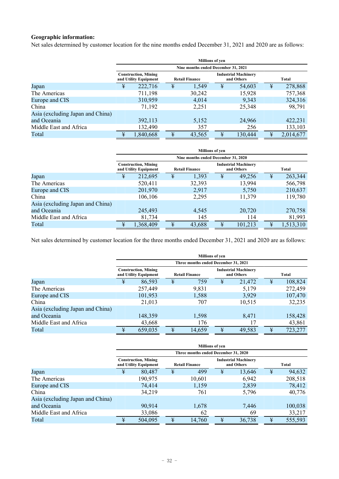#### **Geographic information:**

Net sales determined by customer location for the nine months ended December 31, 2021 and 2020 are as follows:

|                                  | <b>Millions of ven</b>              |                                                                               |   |        |                                           |         |   |           |  |
|----------------------------------|-------------------------------------|-------------------------------------------------------------------------------|---|--------|-------------------------------------------|---------|---|-----------|--|
|                                  | Nine months ended December 31, 2021 |                                                                               |   |        |                                           |         |   |           |  |
|                                  |                                     | <b>Construction, Mining</b><br>and Utility Equipment<br><b>Retail Finance</b> |   |        | <b>Industrial Machinery</b><br>and Others |         |   | Total     |  |
| Japan                            | ¥                                   | 222,716                                                                       | ¥ | 1,549  | ¥                                         | 54,603  | ¥ | 278,868   |  |
| The Americas                     |                                     | 711,198                                                                       |   | 30,242 |                                           | 15,928  |   | 757,368   |  |
| Europe and CIS                   |                                     | 310,959                                                                       |   | 4,014  |                                           | 9,343   |   | 324,316   |  |
| China                            |                                     | 71,192                                                                        |   | 2,251  |                                           | 25,348  |   | 98,791    |  |
| Asia (excluding Japan and China) |                                     |                                                                               |   |        |                                           |         |   |           |  |
| and Oceania                      |                                     | 392,113                                                                       |   | 5,152  |                                           | 24,966  |   | 422,231   |  |
| Middle East and Africa           |                                     | 132,490                                                                       |   | 357    |                                           | 256     |   | 133,103   |  |
| Total                            | ¥                                   | 1,840,668                                                                     | ¥ | 43,565 | ¥                                         | 130,444 | ¥ | 2,014,677 |  |

|                                  | <b>Millions of ven</b>                               |           |                                                                    |        |   |         |   |              |  |
|----------------------------------|------------------------------------------------------|-----------|--------------------------------------------------------------------|--------|---|---------|---|--------------|--|
|                                  | Nine months ended December 31, 2020                  |           |                                                                    |        |   |         |   |              |  |
|                                  | <b>Construction, Mining</b><br>and Utility Equipment |           | <b>Industrial Machinery</b><br><b>Retail Finance</b><br>and Others |        |   |         |   | <b>Total</b> |  |
| Japan                            | ¥                                                    | 212,695   | ¥                                                                  | 1,393  | ¥ | 49,256  | ¥ | 263,344      |  |
| The Americas                     |                                                      | 520,411   |                                                                    | 32,393 |   | 13,994  |   | 566,798      |  |
| Europe and CIS                   |                                                      | 201,970   |                                                                    | 2,917  |   | 5,750   |   | 210,637      |  |
| China                            |                                                      | 106,106   |                                                                    | 2,295  |   | 11,379  |   | 119,780      |  |
| Asia (excluding Japan and China) |                                                      |           |                                                                    |        |   |         |   |              |  |
| and Oceania                      |                                                      | 245,493   |                                                                    | 4,545  |   | 20,720  |   | 270,758      |  |
| Middle East and Africa           |                                                      | 81,734    |                                                                    | 145    |   | 114     |   | 81,993       |  |
| Total                            | ¥                                                    | 1,368,409 | ¥                                                                  | 43,688 | ¥ | 101,213 | ¥ | 1,513,310    |  |

Net sales determined by customer location for the three months ended December 31, 2021 and 2020 are as follows:

|                                  | <b>Millions of yen</b>               |                                                      |               |                                                                    |   |        |              |         |  |  |
|----------------------------------|--------------------------------------|------------------------------------------------------|---------------|--------------------------------------------------------------------|---|--------|--------------|---------|--|--|
|                                  | Three months ended December 31, 2021 |                                                      |               |                                                                    |   |        |              |         |  |  |
|                                  |                                      | <b>Construction, Mining</b><br>and Utility Equipment |               | <b>Industrial Machinery</b><br>and Others<br><b>Retail Finance</b> |   |        | <b>Total</b> |         |  |  |
| Japan                            | ¥                                    | 86,593                                               | ¥             | 759                                                                | ¥ | 21,472 | ¥            | 108,824 |  |  |
| The Americas                     |                                      | 257,449                                              |               | 9,831                                                              |   | 5,179  |              | 272,459 |  |  |
| Europe and CIS                   |                                      | 101,953                                              |               | 1,588                                                              |   | 3,929  |              | 107,470 |  |  |
| China                            |                                      | 21,013                                               |               | 707                                                                |   | 10,515 |              | 32,235  |  |  |
| Asia (excluding Japan and China) |                                      |                                                      |               |                                                                    |   |        |              |         |  |  |
| and Oceania                      |                                      | 148,359                                              |               | 1,598                                                              |   | 8,471  |              | 158,428 |  |  |
| Middle East and Africa           |                                      | 43,668                                               |               | 176                                                                |   | 17     |              | 43,861  |  |  |
| Total                            | ¥                                    | 659,035                                              | $\frac{1}{2}$ | 14,659                                                             | ¥ | 49,583 | ¥            | 723,277 |  |  |

|                                  | <b>Millions of ven</b>                                                        |         |   |                                           |   |        |              |         |  |  |
|----------------------------------|-------------------------------------------------------------------------------|---------|---|-------------------------------------------|---|--------|--------------|---------|--|--|
|                                  | Three months ended December 31, 2020                                          |         |   |                                           |   |        |              |         |  |  |
|                                  | <b>Construction, Mining</b><br>and Utility Equipment<br><b>Retail Finance</b> |         |   | <b>Industrial Machinery</b><br>and Others |   |        | <b>Total</b> |         |  |  |
| Japan                            | ¥                                                                             | 80,487  | ¥ | 499                                       | ¥ | 13,646 | ¥            | 94,632  |  |  |
| The Americas                     |                                                                               | 190,975 |   | 10,601                                    |   | 6,942  |              | 208,518 |  |  |
| Europe and CIS                   |                                                                               | 74,414  |   | 1,159                                     |   | 2,839  |              | 78,412  |  |  |
| China                            |                                                                               | 34,219  |   | 761                                       |   | 5,796  |              | 40,776  |  |  |
| Asia (excluding Japan and China) |                                                                               |         |   |                                           |   |        |              |         |  |  |
| and Oceania                      |                                                                               | 90,914  |   | 1,678                                     |   | 7,446  |              | 100,038 |  |  |
| Middle East and Africa           |                                                                               | 33,086  |   | 62                                        |   | 69     |              | 33,217  |  |  |
| Total                            |                                                                               | 504,095 | ¥ | 14,760                                    | ¥ | 36,738 | ¥            | 555,593 |  |  |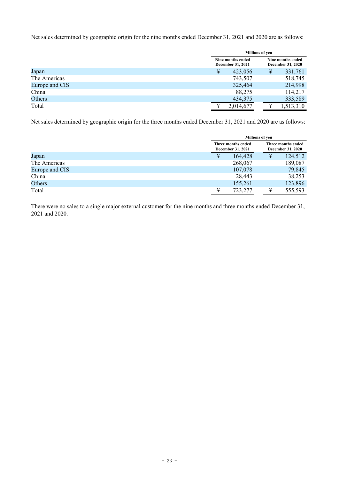Net sales determined by geographic origin for the nine months ended December 31, 2021 and 2020 are as follows:

|                |                                        | <b>Millions of ven</b>                 |  |  |
|----------------|----------------------------------------|----------------------------------------|--|--|
|                | Nine months ended<br>December 31, 2021 | Nine months ended<br>December 31, 2020 |  |  |
| Japan          | 423,056                                | 331,761<br>¥                           |  |  |
| The Americas   | 743,507                                | 518,745                                |  |  |
| Europe and CIS | 325,464                                | 214,998                                |  |  |
| China          | 88,275                                 | 114,217                                |  |  |
| Others         | 434,375                                | 333,589                                |  |  |
| Total          | 2,014,677                              | 1,513,310                              |  |  |

Net sales determined by geographic origin for the three months ended December 31, 2021 and 2020 are as follows:

|                |                                         | <b>Millions of yen</b>                  |
|----------------|-----------------------------------------|-----------------------------------------|
|                | Three months ended<br>December 31, 2021 | Three months ended<br>December 31, 2020 |
| Japan          | 164,428<br>¥                            | 124,512<br>¥                            |
| The Americas   | 268,067                                 | 189,087                                 |
| Europe and CIS | 107,078                                 | 79,845                                  |
| China          | 28,443                                  | 38,253                                  |
| Others         | 155,261                                 | 123,896                                 |
| Total          | 723,277                                 | 555,593                                 |

There were no sales to a single major external customer for the nine months and three months ended December 31, 2021 and 2020.